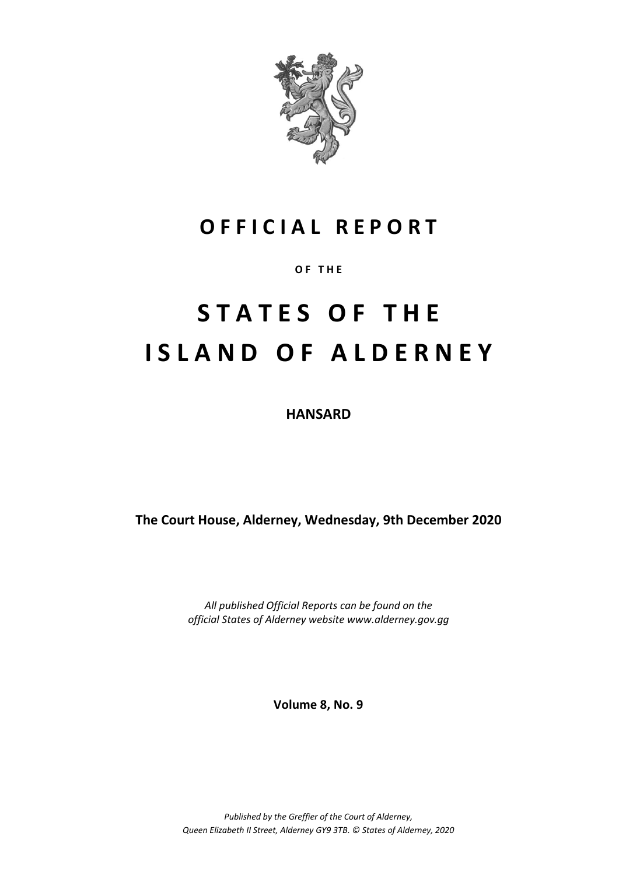

# **O F F I C I A L R E P O R T**

**O F T H E**

# **S T A T E S O F T H E I S L A N D O F A L D E R N E Y**

**HANSARD**

**The Court House, Alderney, Wednesday, 9th December 2020**

*All published Official Reports can be found on the official States of Alderney website www.alderney.gov.gg*

**Volume 8, No. 9**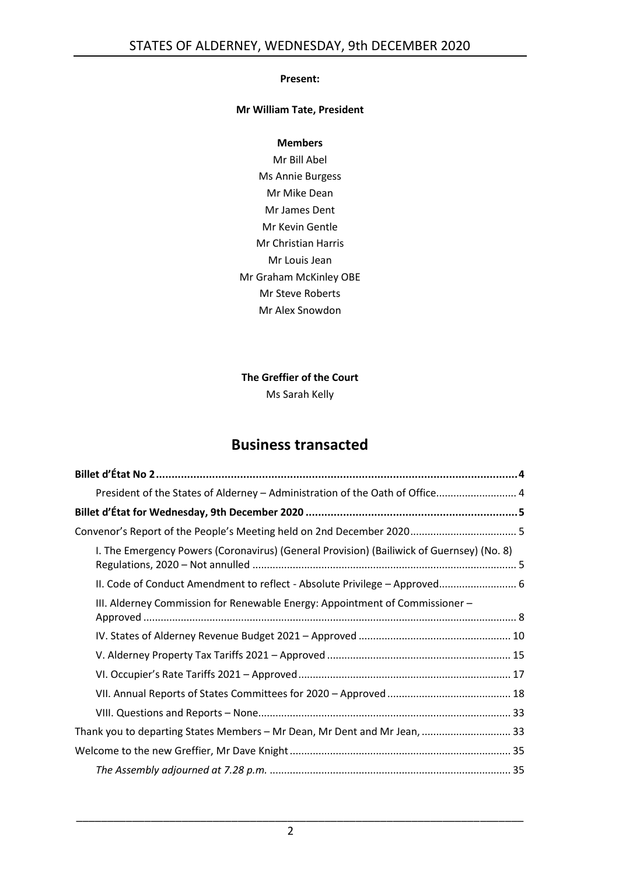#### **Present:**

#### **Mr William Tate, President**

#### **Members**

Mr Bill Abel Ms Annie Burgess Mr Mike Dean Mr James Dent Mr Kevin Gentle Mr Christian Harris Mr Louis Jean Mr Graham McKinley OBE Mr Steve Roberts Mr Alex Snowdon

# **The Greffier of the Court**

Ms Sarah Kelly

# **Business transacted**

| President of the States of Alderney - Administration of the Oath of Office 4              |
|-------------------------------------------------------------------------------------------|
|                                                                                           |
| Convenor's Report of the People's Meeting held on 2nd December 2020 5                     |
| I. The Emergency Powers (Coronavirus) (General Provision) (Bailiwick of Guernsey) (No. 8) |
| II. Code of Conduct Amendment to reflect - Absolute Privilege - Approved 6                |
| III. Alderney Commission for Renewable Energy: Appointment of Commissioner -              |
|                                                                                           |
|                                                                                           |
|                                                                                           |
|                                                                                           |
|                                                                                           |
| Thank you to departing States Members - Mr Dean, Mr Dent and Mr Jean,  33                 |
|                                                                                           |
|                                                                                           |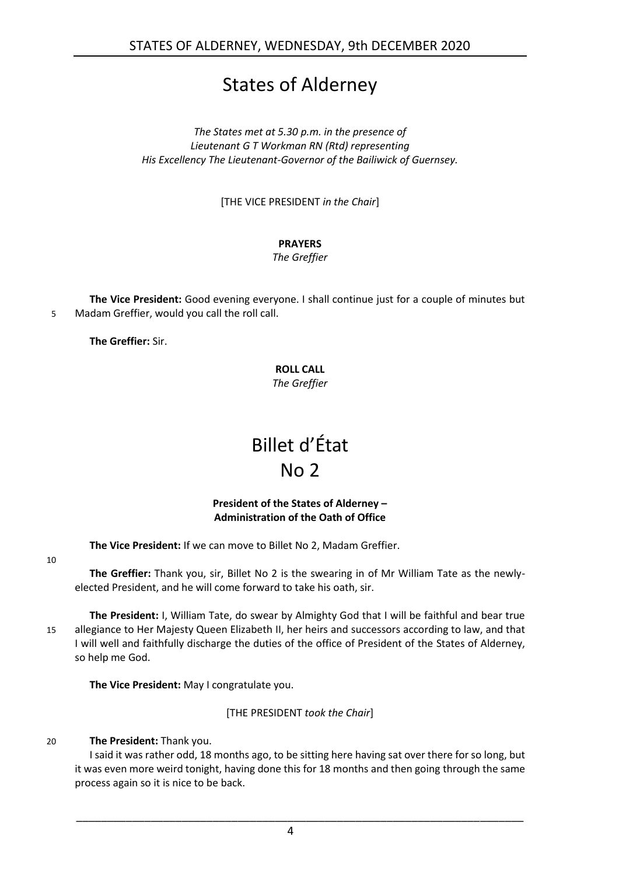# States of Alderney

*The States met at 5.30 p.m. in the presence of Lieutenant G T Workman RN (Rtd) representing His Excellency The Lieutenant-Governor of the Bailiwick of Guernsey.*

[THE VICE PRESIDENT *in the Chair*]

# **PRAYERS**

*The Greffier*

**The Vice President:** Good evening everyone. I shall continue just for a couple of minutes but 5 Madam Greffier, would you call the roll call.

<span id="page-3-0"></span>**The Greffier:** Sir.

#### **ROLL CALL** *The Greffier*

# Billet d'État No 2

#### **President of the States of Alderney – Administration of the Oath of Office**

<span id="page-3-1"></span>**The Vice President:** If we can move to Billet No 2, Madam Greffier.

10

**The Greffier:** Thank you, sir, Billet No 2 is the swearing in of Mr William Tate as the newlyelected President, and he will come forward to take his oath, sir.

**The President:** I, William Tate, do swear by Almighty God that I will be faithful and bear true 15 allegiance to Her Majesty Queen Elizabeth II, her heirs and successors according to law, and that I will well and faithfully discharge the duties of the office of President of the States of Alderney, so help me God.

**The Vice President:** May I congratulate you.

[THE PRESIDENT *took the Chair*]

# 20 **The President:** Thank you.

I said it was rather odd, 18 months ago, to be sitting here having sat over there for so long, but it was even more weird tonight, having done this for 18 months and then going through the same process again so it is nice to be back.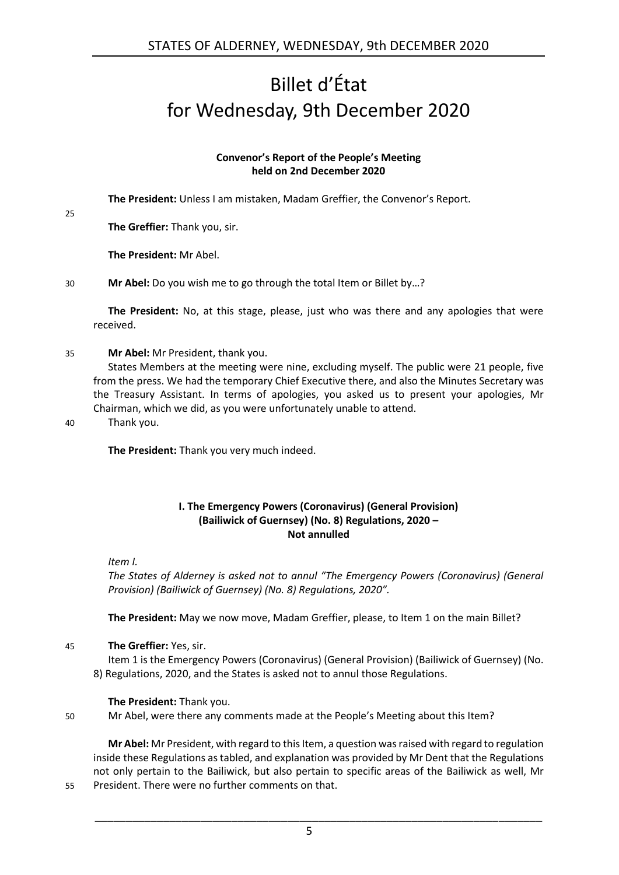# <span id="page-4-0"></span>Billet d'État for Wednesday, 9th December 2020

#### **Convenor's Report of the People's Meeting held on 2nd December 2020**

<span id="page-4-1"></span>**The President:** Unless I am mistaken, Madam Greffier, the Convenor's Report.

**The Greffier:** Thank you, sir.

**The President:** Mr Abel.

30 **Mr Abel:** Do you wish me to go through the total Item or Billet by…?

**The President:** No, at this stage, please, just who was there and any apologies that were received.

#### 35 **Mr Abel:** Mr President, thank you.

States Members at the meeting were nine, excluding myself. The public were 21 people, five from the press. We had the temporary Chief Executive there, and also the Minutes Secretary was the Treasury Assistant. In terms of apologies, you asked us to present your apologies, Mr Chairman, which we did, as you were unfortunately unable to attend.

25

40 Thank you.

**The President:** Thank you very much indeed.

#### **I. The Emergency Powers (Coronavirus) (General Provision) (Bailiwick of Guernsey) (No. 8) Regulations, 2020 – Not annulled**

<span id="page-4-2"></span>*Item I.*

*The States of Alderney is asked not to annul "The Emergency Powers (Coronavirus) (General Provision) (Bailiwick of Guernsey) (No. 8) Regulations, 2020".*

**The President:** May we now move, Madam Greffier, please, to Item 1 on the main Billet?

45 **The Greffier:** Yes, sir.

Item 1 is the Emergency Powers (Coronavirus) (General Provision) (Bailiwick of Guernsey) (No. 8) Regulations, 2020, and the States is asked not to annul those Regulations.

# **The President:** Thank you.

50 Mr Abel, were there any comments made at the People's Meeting about this Item?

**Mr Abel:** Mr President, with regard to this Item, a question was raised with regard to regulation inside these Regulations as tabled, and explanation was provided by Mr Dent that the Regulations not only pertain to the Bailiwick, but also pertain to specific areas of the Bailiwick as well, Mr 55 President. There were no further comments on that.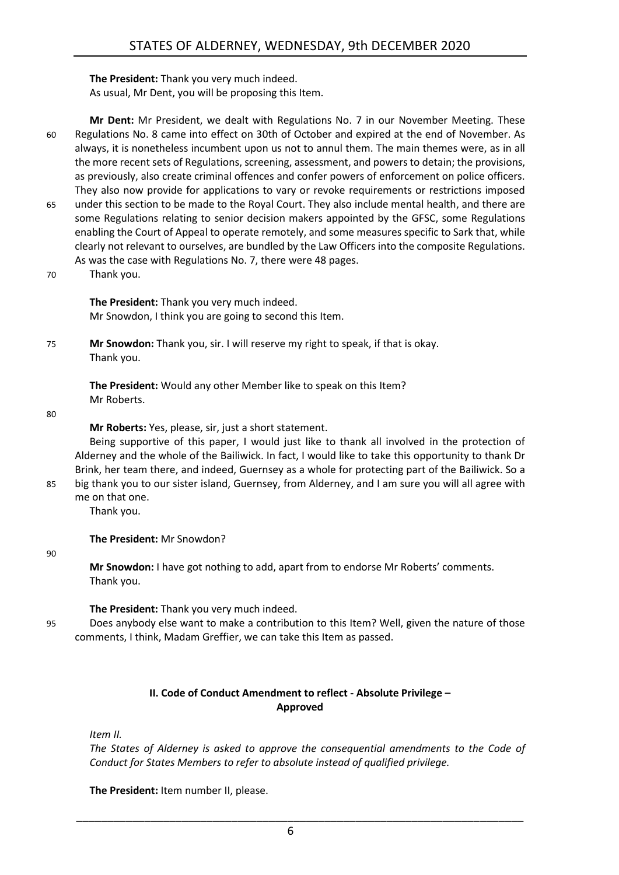**The President:** Thank you very much indeed. As usual, Mr Dent, you will be proposing this Item.

- **Mr Dent:** Mr President, we dealt with Regulations No. 7 in our November Meeting. These 60 Regulations No. 8 came into effect on 30th of October and expired at the end of November. As always, it is nonetheless incumbent upon us not to annul them. The main themes were, as in all the more recent sets of Regulations, screening, assessment, and powers to detain; the provisions, as previously, also create criminal offences and confer powers of enforcement on police officers. They also now provide for applications to vary or revoke requirements or restrictions imposed 65 under this section to be made to the Royal Court. They also include mental health, and there are some Regulations relating to senior decision makers appointed by the GFSC, some Regulations enabling the Court of Appeal to operate remotely, and some measures specific to Sark that, while clearly not relevant to ourselves, are bundled by the Law Officers into the composite Regulations. As was the case with Regulations No. 7, there were 48 pages.
- 70 Thank you.

**The President:** Thank you very much indeed. Mr Snowdon, I think you are going to second this Item.

75 **Mr Snowdon:** Thank you, sir. I will reserve my right to speak, if that is okay. Thank you.

> **The President:** Would any other Member like to speak on this Item? Mr Roberts.

80

**Mr Roberts:** Yes, please, sir, just a short statement.

Being supportive of this paper, I would just like to thank all involved in the protection of Alderney and the whole of the Bailiwick. In fact, I would like to take this opportunity to thank Dr Brink, her team there, and indeed, Guernsey as a whole for protecting part of the Bailiwick. So a 85 big thank you to our sister island, Guernsey, from Alderney, and I am sure you will all agree with

me on that one.

Thank you.

**The President:** Mr Snowdon?

90

**Mr Snowdon:** I have got nothing to add, apart from to endorse Mr Roberts' comments. Thank you.

**The President:** Thank you very much indeed.

95 Does anybody else want to make a contribution to this Item? Well, given the nature of those comments, I think, Madam Greffier, we can take this Item as passed.

#### **II. Code of Conduct Amendment to reflect - Absolute Privilege – Approved**

<span id="page-5-0"></span>*Item II.*

*The States of Alderney is asked to approve the consequential amendments to the Code of Conduct for States Members to refer to absolute instead of qualified privilege.*

**The President:** Item number II, please.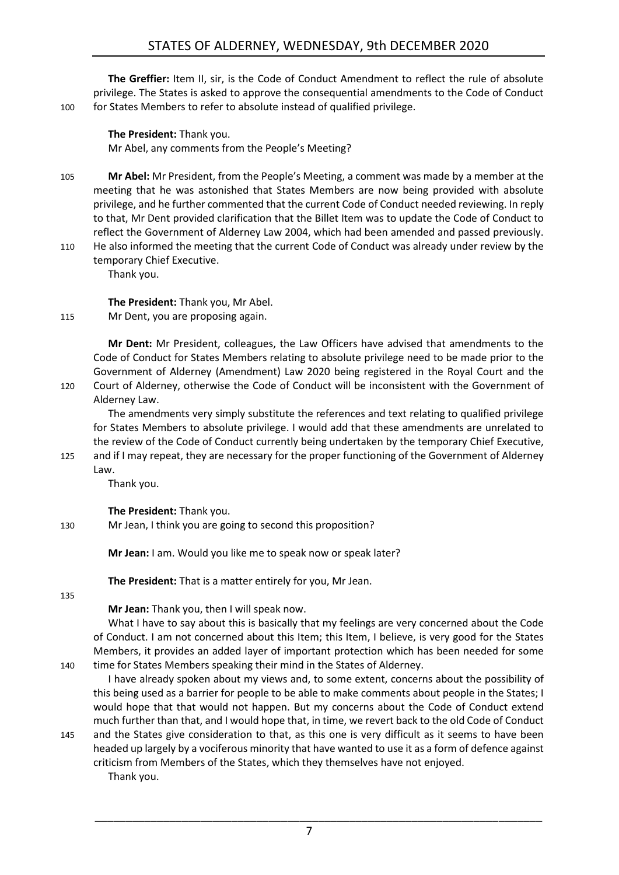**The Greffier:** Item II, sir, is the Code of Conduct Amendment to reflect the rule of absolute privilege. The States is asked to approve the consequential amendments to the Code of Conduct 100 for States Members to refer to absolute instead of qualified privilege.

**The President:** Thank you. Mr Abel, any comments from the People's Meeting?

- 105 **Mr Abel:** Mr President, from the People's Meeting, a comment was made by a member at the meeting that he was astonished that States Members are now being provided with absolute privilege, and he further commented that the current Code of Conduct needed reviewing. In reply to that, Mr Dent provided clarification that the Billet Item was to update the Code of Conduct to reflect the Government of Alderney Law 2004, which had been amended and passed previously.
- 110 He also informed the meeting that the current Code of Conduct was already under review by the temporary Chief Executive.

Thank you.

**The President:** Thank you, Mr Abel.

115 Mr Dent, you are proposing again.

**Mr Dent:** Mr President, colleagues, the Law Officers have advised that amendments to the Code of Conduct for States Members relating to absolute privilege need to be made prior to the Government of Alderney (Amendment) Law 2020 being registered in the Royal Court and the 120 Court of Alderney, otherwise the Code of Conduct will be inconsistent with the Government of Alderney Law.

The amendments very simply substitute the references and text relating to qualified privilege for States Members to absolute privilege. I would add that these amendments are unrelated to the review of the Code of Conduct currently being undertaken by the temporary Chief Executive, 125 and if I may repeat, they are necessary for the proper functioning of the Government of Alderney

Law.

Thank you.

**The President:** Thank you.

130 Mr Jean, I think you are going to second this proposition?

**Mr Jean:** I am. Would you like me to speak now or speak later?

**The President:** That is a matter entirely for you, Mr Jean.

135

**Mr Jean:** Thank you, then I will speak now.

What I have to say about this is basically that my feelings are very concerned about the Code of Conduct. I am not concerned about this Item; this Item, I believe, is very good for the States Members, it provides an added layer of important protection which has been needed for some 140 time for States Members speaking their mind in the States of Alderney.

I have already spoken about my views and, to some extent, concerns about the possibility of this being used as a barrier for people to be able to make comments about people in the States; I would hope that that would not happen. But my concerns about the Code of Conduct extend much further than that, and I would hope that, in time, we revert back to the old Code of Conduct 145 and the States give consideration to that, as this one is very difficult as it seems to have been

headed up largely by a vociferous minority that have wanted to use it as a form of defence against criticism from Members of the States, which they themselves have not enjoyed. Thank you.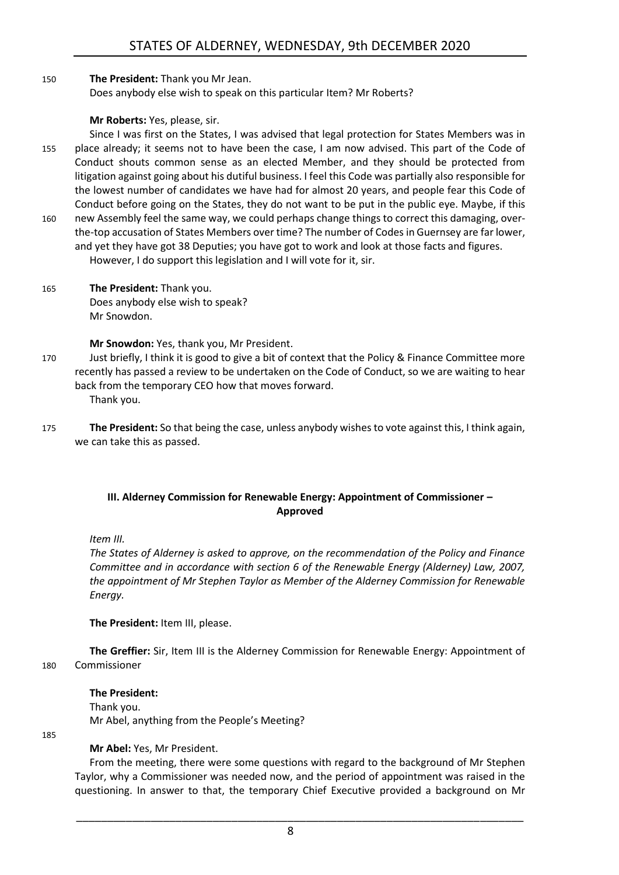150 **The President:** Thank you Mr Jean. Does anybody else wish to speak on this particular Item? Mr Roberts?

#### **Mr Roberts:** Yes, please, sir.

Since I was first on the States, I was advised that legal protection for States Members was in 155 place already; it seems not to have been the case, I am now advised. This part of the Code of Conduct shouts common sense as an elected Member, and they should be protected from litigation against going about his dutiful business. I feel this Code was partially also responsible for the lowest number of candidates we have had for almost 20 years, and people fear this Code of Conduct before going on the States, they do not want to be put in the public eye. Maybe, if this 160 new Assembly feel the same way, we could perhaps change things to correct this damaging, overthe-top accusation of States Members over time? The number of Codes in Guernsey are far lower,

- and yet they have got 38 Deputies; you have got to work and look at those facts and figures. However, I do support this legislation and I will vote for it, sir.
- 165 **The President:** Thank you. Does anybody else wish to speak? Mr Snowdon.

**Mr Snowdon:** Yes, thank you, Mr President.

- 170 Just briefly, I think it is good to give a bit of context that the Policy & Finance Committee more recently has passed a review to be undertaken on the Code of Conduct, so we are waiting to hear back from the temporary CEO how that moves forward. Thank you.
- 175 **The President:** So that being the case, unless anybody wishes to vote against this, I think again, we can take this as passed.

#### <span id="page-7-0"></span>**III. Alderney Commission for Renewable Energy: Appointment of Commissioner – Approved**

*Item III.*

*The States of Alderney is asked to approve, on the recommendation of the Policy and Finance Committee and in accordance with section 6 of the Renewable Energy (Alderney) Law, 2007, the appointment of Mr Stephen Taylor as Member of the Alderney Commission for Renewable Energy.*

**The President:** Item III, please.

**The Greffier:** Sir, Item III is the Alderney Commission for Renewable Energy: Appointment of 180 Commissioner

#### **The President:**

Thank you. Mr Abel, anything from the People's Meeting?

185

# **Mr Abel:** Yes, Mr President.

From the meeting, there were some questions with regard to the background of Mr Stephen Taylor, why a Commissioner was needed now, and the period of appointment was raised in the questioning. In answer to that, the temporary Chief Executive provided a background on Mr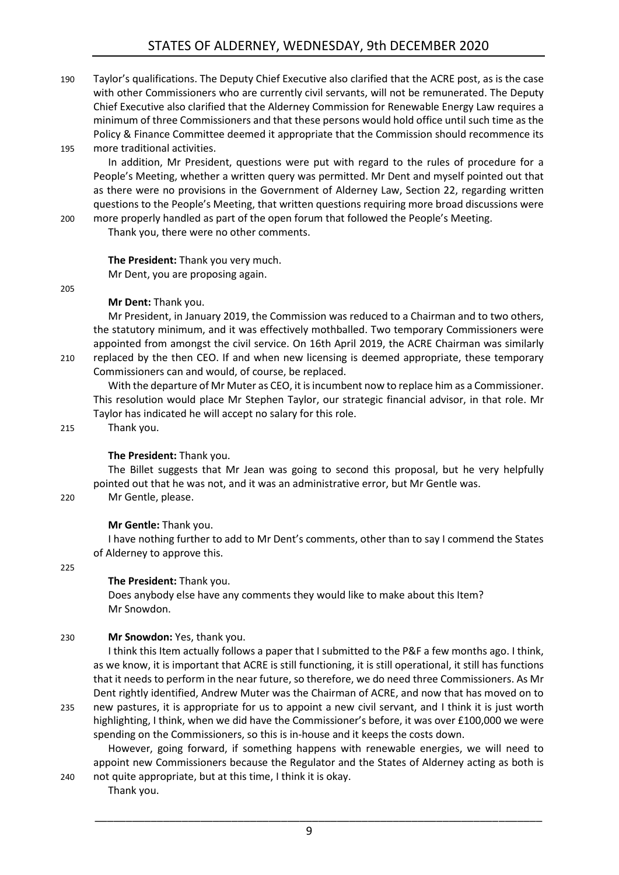190 Taylor's qualifications. The Deputy Chief Executive also clarified that the ACRE post, as is the case with other Commissioners who are currently civil servants, will not be remunerated. The Deputy Chief Executive also clarified that the Alderney Commission for Renewable Energy Law requires a minimum of three Commissioners and that these persons would hold office until such time as the Policy & Finance Committee deemed it appropriate that the Commission should recommence its 195 more traditional activities.

In addition, Mr President, questions were put with regard to the rules of procedure for a People's Meeting, whether a written query was permitted. Mr Dent and myself pointed out that as there were no provisions in the Government of Alderney Law, Section 22, regarding written questions to the People's Meeting, that written questions requiring more broad discussions were 200 more properly handled as part of the open forum that followed the People's Meeting.

Thank you, there were no other comments.

#### **The President:** Thank you very much.

Mr Dent, you are proposing again.

205

#### **Mr Dent:** Thank you.

Mr President, in January 2019, the Commission was reduced to a Chairman and to two others, the statutory minimum, and it was effectively mothballed. Two temporary Commissioners were appointed from amongst the civil service. On 16th April 2019, the ACRE Chairman was similarly 210 replaced by the then CEO. If and when new licensing is deemed appropriate, these temporary Commissioners can and would, of course, be replaced.

With the departure of Mr Muter as CEO, it is incumbent now to replace him as a Commissioner. This resolution would place Mr Stephen Taylor, our strategic financial advisor, in that role. Mr Taylor has indicated he will accept no salary for this role.

215 Thank you.

# **The President:** Thank you.

The Billet suggests that Mr Jean was going to second this proposal, but he very helpfully pointed out that he was not, and it was an administrative error, but Mr Gentle was.

220 Mr Gentle, please.

# **Mr Gentle:** Thank you.

I have nothing further to add to Mr Dent's comments, other than to say I commend the States of Alderney to approve this.

225

#### **The President:** Thank you.

Does anybody else have any comments they would like to make about this Item? Mr Snowdon.

# 230 **Mr Snowdon:** Yes, thank you.

I think this Item actually follows a paper that I submitted to the P&F a few months ago. I think, as we know, it is important that ACRE is still functioning, it is still operational, it still has functions that it needs to perform in the near future, so therefore, we do need three Commissioners. As Mr Dent rightly identified, Andrew Muter was the Chairman of ACRE, and now that has moved on to

235 new pastures, it is appropriate for us to appoint a new civil servant, and I think it is just worth highlighting, I think, when we did have the Commissioner's before, it was over £100,000 we were spending on the Commissioners, so this is in-house and it keeps the costs down.

However, going forward, if something happens with renewable energies, we will need to appoint new Commissioners because the Regulator and the States of Alderney acting as both is 240 not quite appropriate, but at this time, I think it is okay.

Thank you.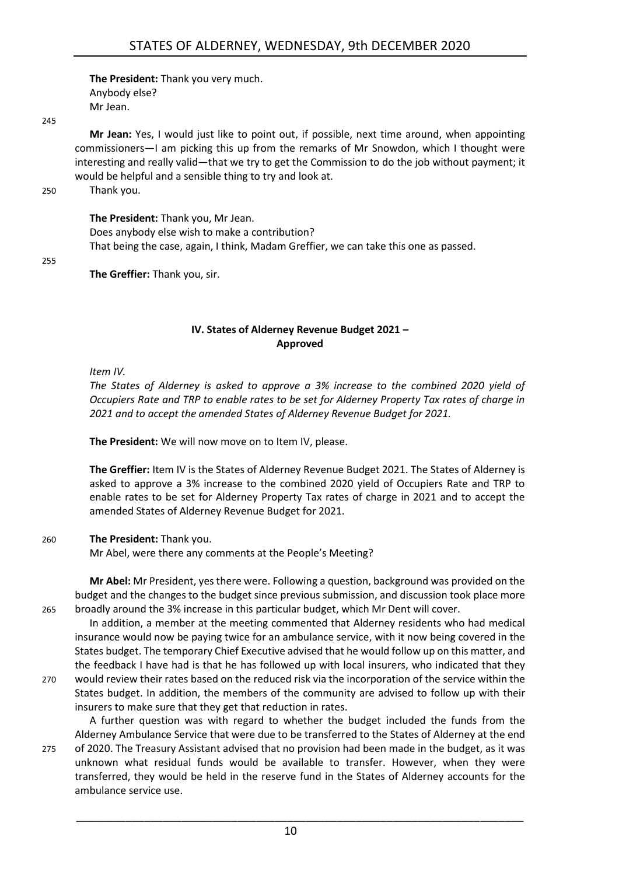**The President:** Thank you very much. Anybody else? Mr Jean.

 $245$ 

**Mr Jean:** Yes, I would just like to point out, if possible, next time around, when appointing commissioners—I am picking this up from the remarks of Mr Snowdon, which I thought were interesting and really valid—that we try to get the Commission to do the job without payment; it would be helpful and a sensible thing to try and look at.

250 Thank you.

#### **The President:** Thank you, Mr Jean.

Does anybody else wish to make a contribution? That being the case, again, I think, Madam Greffier, we can take this one as passed.

255

**The Greffier:** Thank you, sir.

#### **IV. States of Alderney Revenue Budget 2021 – Approved**

<span id="page-9-0"></span>*Item IV.*

*The States of Alderney is asked to approve a 3% increase to the combined 2020 yield of Occupiers Rate and TRP to enable rates to be set for Alderney Property Tax rates of charge in 2021 and to accept the amended States of Alderney Revenue Budget for 2021.*

**The President:** We will now move on to Item IV, please.

**The Greffier:** Item IV is the States of Alderney Revenue Budget 2021. The States of Alderney is asked to approve a 3% increase to the combined 2020 yield of Occupiers Rate and TRP to enable rates to be set for Alderney Property Tax rates of charge in 2021 and to accept the amended States of Alderney Revenue Budget for 2021.

#### 260 **The President:** Thank you.

Mr Abel, were there any comments at the People's Meeting?

**Mr Abel:** Mr President, yes there were. Following a question, background was provided on the budget and the changes to the budget since previous submission, and discussion took place more 265 broadly around the 3% increase in this particular budget, which Mr Dent will cover.

In addition, a member at the meeting commented that Alderney residents who had medical insurance would now be paying twice for an ambulance service, with it now being covered in the States budget. The temporary Chief Executive advised that he would follow up on this matter, and the feedback I have had is that he has followed up with local insurers, who indicated that they 270 would review their rates based on the reduced risk via the incorporation of the service within the States budget. In addition, the members of the community are advised to follow up with their insurers to make sure that they get that reduction in rates.

A further question was with regard to whether the budget included the funds from the Alderney Ambulance Service that were due to be transferred to the States of Alderney at the end 275 of 2020. The Treasury Assistant advised that no provision had been made in the budget, as it was unknown what residual funds would be available to transfer. However, when they were transferred, they would be held in the reserve fund in the States of Alderney accounts for the ambulance service use.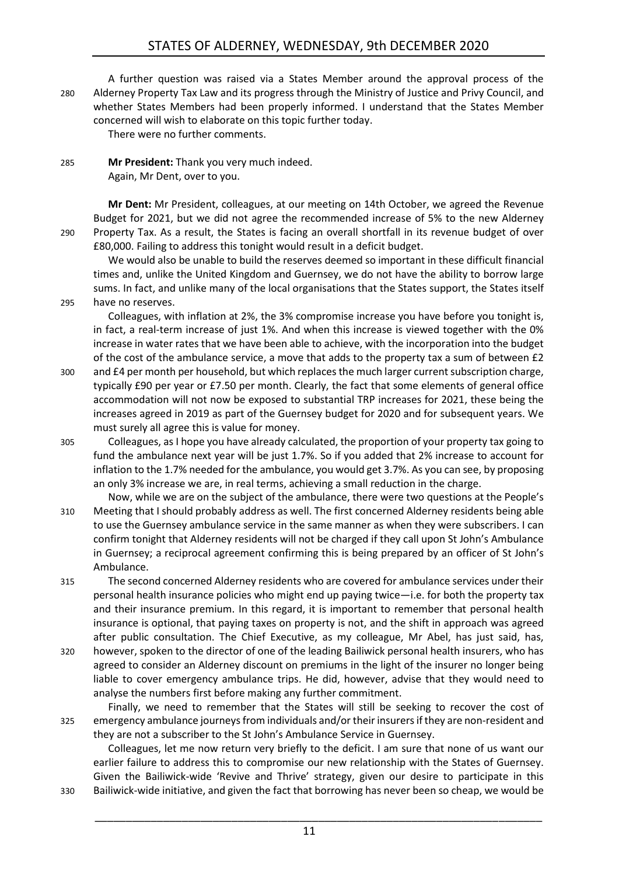# STATES OF ALDERNEY, WEDNESDAY, 9th DECEMBER 2020

A further question was raised via a States Member around the approval process of the 280 Alderney Property Tax Law and its progress through the Ministry of Justice and Privy Council, and whether States Members had been properly informed. I understand that the States Member concerned will wish to elaborate on this topic further today.

There were no further comments.

285 **Mr President:** Thank you very much indeed. Again, Mr Dent, over to you.

**Mr Dent:** Mr President, colleagues, at our meeting on 14th October, we agreed the Revenue Budget for 2021, but we did not agree the recommended increase of 5% to the new Alderney 290 Property Tax. As a result, the States is facing an overall shortfall in its revenue budget of over £80,000. Failing to address this tonight would result in a deficit budget.

We would also be unable to build the reserves deemed so important in these difficult financial times and, unlike the United Kingdom and Guernsey, we do not have the ability to borrow large sums. In fact, and unlike many of the local organisations that the States support, the States itself 295 have no reserves.

Colleagues, with inflation at 2%, the 3% compromise increase you have before you tonight is, in fact, a real-term increase of just 1%. And when this increase is viewed together with the 0% increase in water rates that we have been able to achieve, with the incorporation into the budget of the cost of the ambulance service, a move that adds to the property tax a sum of between £2

- 300 and £4 per month per household, but which replaces the much larger current subscription charge, typically £90 per year or £7.50 per month. Clearly, the fact that some elements of general office accommodation will not now be exposed to substantial TRP increases for 2021, these being the increases agreed in 2019 as part of the Guernsey budget for 2020 and for subsequent years. We must surely all agree this is value for money.
- 305 Colleagues, as I hope you have already calculated, the proportion of your property tax going to fund the ambulance next year will be just 1.7%. So if you added that 2% increase to account for inflation to the 1.7% needed for the ambulance, you would get 3.7%. As you can see, by proposing an only 3% increase we are, in real terms, achieving a small reduction in the charge.
- Now, while we are on the subject of the ambulance, there were two questions at the People's 310 Meeting that I should probably address as well. The first concerned Alderney residents being able to use the Guernsey ambulance service in the same manner as when they were subscribers. I can confirm tonight that Alderney residents will not be charged if they call upon St John's Ambulance in Guernsey; a reciprocal agreement confirming this is being prepared by an officer of St John's Ambulance.
- 315 The second concerned Alderney residents who are covered for ambulance services under their personal health insurance policies who might end up paying twice—i.e. for both the property tax and their insurance premium. In this regard, it is important to remember that personal health insurance is optional, that paying taxes on property is not, and the shift in approach was agreed after public consultation. The Chief Executive, as my colleague, Mr Abel, has just said, has,
- 320 however, spoken to the director of one of the leading Bailiwick personal health insurers, who has agreed to consider an Alderney discount on premiums in the light of the insurer no longer being liable to cover emergency ambulance trips. He did, however, advise that they would need to analyse the numbers first before making any further commitment.

Finally, we need to remember that the States will still be seeking to recover the cost of 325 emergency ambulance journeys from individuals and/or their insurers if they are non-resident and they are not a subscriber to the St John's Ambulance Service in Guernsey.

Colleagues, let me now return very briefly to the deficit. I am sure that none of us want our earlier failure to address this to compromise our new relationship with the States of Guernsey. Given the Bailiwick-wide 'Revive and Thrive' strategy, given our desire to participate in this 330 Bailiwick-wide initiative, and given the fact that borrowing has never been so cheap, we would be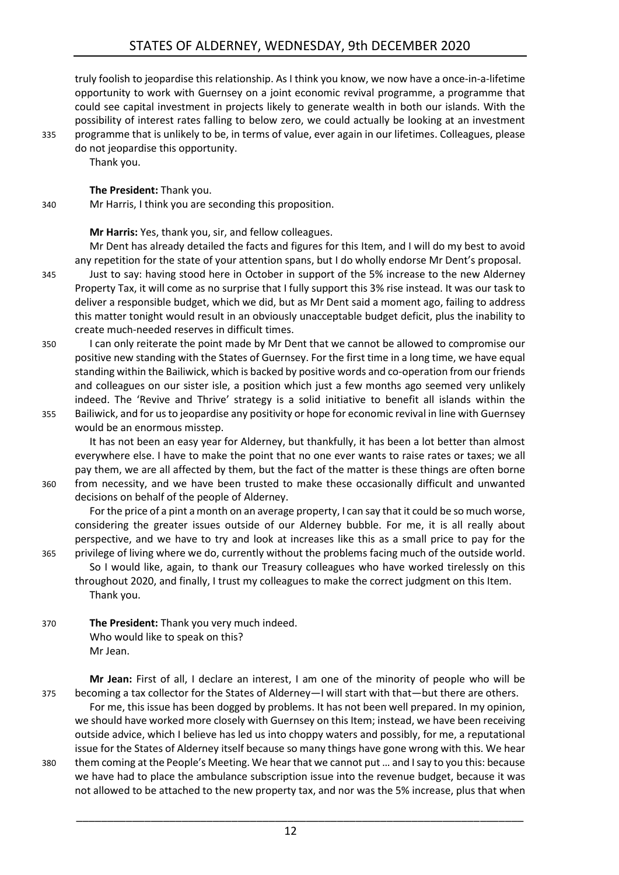truly foolish to jeopardise this relationship. As I think you know, we now have a once-in-a-lifetime opportunity to work with Guernsey on a joint economic revival programme, a programme that could see capital investment in projects likely to generate wealth in both our islands. With the possibility of interest rates falling to below zero, we could actually be looking at an investment 335 programme that is unlikely to be, in terms of value, ever again in our lifetimes. Colleagues, please do not jeopardise this opportunity.

Thank you.

**The President:** Thank you.

340 Mr Harris, I think you are seconding this proposition.

**Mr Harris:** Yes, thank you, sir, and fellow colleagues.

Mr Dent has already detailed the facts and figures for this Item, and I will do my best to avoid any repetition for the state of your attention spans, but I do wholly endorse Mr Dent's proposal.

- 345 Just to say: having stood here in October in support of the 5% increase to the new Alderney Property Tax, it will come as no surprise that I fully support this 3% rise instead. It was our task to deliver a responsible budget, which we did, but as Mr Dent said a moment ago, failing to address this matter tonight would result in an obviously unacceptable budget deficit, plus the inability to create much-needed reserves in difficult times.
- 350 I can only reiterate the point made by Mr Dent that we cannot be allowed to compromise our positive new standing with the States of Guernsey. For the first time in a long time, we have equal standing within the Bailiwick, which is backed by positive words and co-operation from our friends and colleagues on our sister isle, a position which just a few months ago seemed very unlikely indeed. The 'Revive and Thrive' strategy is a solid initiative to benefit all islands within the
- 355 Bailiwick, and for us to jeopardise any positivity or hope for economic revival in line with Guernsey would be an enormous misstep.

It has not been an easy year for Alderney, but thankfully, it has been a lot better than almost everywhere else. I have to make the point that no one ever wants to raise rates or taxes; we all pay them, we are all affected by them, but the fact of the matter is these things are often borne 360 from necessity, and we have been trusted to make these occasionally difficult and unwanted decisions on behalf of the people of Alderney.

For the price of a pint a month on an average property, I can say that it could be so much worse, considering the greater issues outside of our Alderney bubble. For me, it is all really about perspective, and we have to try and look at increases like this as a small price to pay for the 365 privilege of living where we do, currently without the problems facing much of the outside world.

So I would like, again, to thank our Treasury colleagues who have worked tirelessly on this throughout 2020, and finally, I trust my colleagues to make the correct judgment on this Item. Thank you.

370 **The President:** Thank you very much indeed. Who would like to speak on this? Mr Jean.

**Mr Jean:** First of all, I declare an interest, I am one of the minority of people who will be 375 becoming a tax collector for the States of Alderney—I will start with that—but there are others.

For me, this issue has been dogged by problems. It has not been well prepared. In my opinion, we should have worked more closely with Guernsey on this Item; instead, we have been receiving outside advice, which I believe has led us into choppy waters and possibly, for me, a reputational issue for the States of Alderney itself because so many things have gone wrong with this. We hear 380 them coming at the People's Meeting. We hear that we cannot put … and I say to you this: because we have had to place the ambulance subscription issue into the revenue budget, because it was not allowed to be attached to the new property tax, and nor was the 5% increase, plus that when

12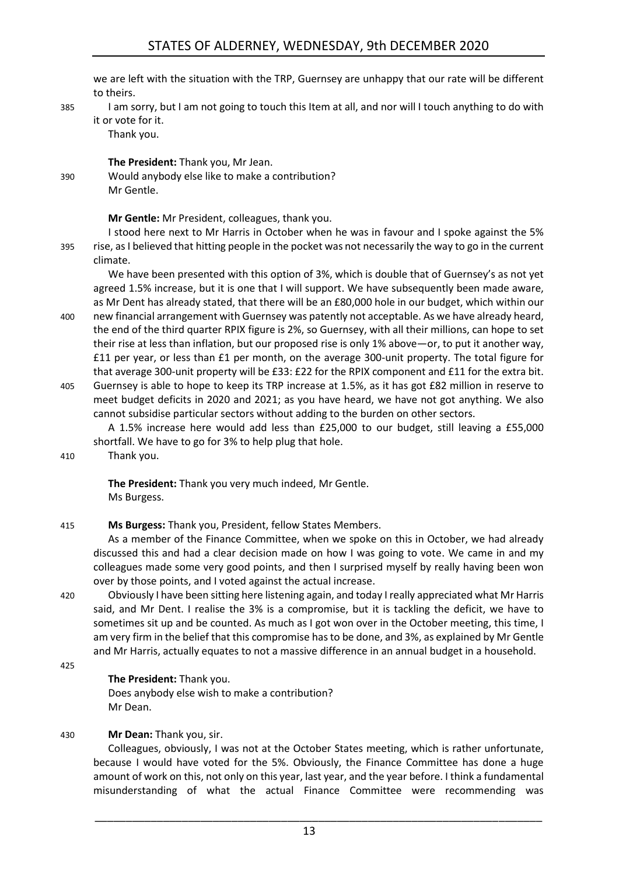we are left with the situation with the TRP, Guernsey are unhappy that our rate will be different to theirs.

385 I am sorry, but I am not going to touch this Item at all, and nor will I touch anything to do with it or vote for it.

Thank you.

**The President:** Thank you, Mr Jean. 390 Would anybody else like to make a contribution? Mr Gentle.

**Mr Gentle:** Mr President, colleagues, thank you.

I stood here next to Mr Harris in October when he was in favour and I spoke against the 5% 395 rise, as I believed that hitting people in the pocket was not necessarily the way to go in the current climate.

We have been presented with this option of 3%, which is double that of Guernsey's as not yet agreed 1.5% increase, but it is one that I will support. We have subsequently been made aware, as Mr Dent has already stated, that there will be an £80,000 hole in our budget, which within our

- 400 new financial arrangement with Guernsey was patently not acceptable. As we have already heard, the end of the third quarter RPIX figure is 2%, so Guernsey, with all their millions, can hope to set their rise at less than inflation, but our proposed rise is only 1% above—or, to put it another way, £11 per year, or less than £1 per month, on the average 300-unit property. The total figure for that average 300-unit property will be £33: £22 for the RPIX component and £11 for the extra bit.
- 405 Guernsey is able to hope to keep its TRP increase at 1.5%, as it has got £82 million in reserve to meet budget deficits in 2020 and 2021; as you have heard, we have not got anything. We also cannot subsidise particular sectors without adding to the burden on other sectors.

A 1.5% increase here would add less than £25,000 to our budget, still leaving a £55,000 shortfall. We have to go for 3% to help plug that hole.

# 410 Thank you.

**The President:** Thank you very much indeed, Mr Gentle. Ms Burgess.

415 **Ms Burgess:** Thank you, President, fellow States Members.

As a member of the Finance Committee, when we spoke on this in October, we had already discussed this and had a clear decision made on how I was going to vote. We came in and my colleagues made some very good points, and then I surprised myself by really having been won over by those points, and I voted against the actual increase.

420 Obviously I have been sitting here listening again, and today I really appreciated what Mr Harris said, and Mr Dent. I realise the 3% is a compromise, but it is tackling the deficit, we have to sometimes sit up and be counted. As much as I got won over in the October meeting, this time, I am very firm in the belief that this compromise has to be done, and 3%, as explained by Mr Gentle and Mr Harris, actually equates to not a massive difference in an annual budget in a household.

425

# **The President:** Thank you.

Does anybody else wish to make a contribution? Mr Dean.

# 430 **Mr Dean:** Thank you, sir.

Colleagues, obviously, I was not at the October States meeting, which is rather unfortunate, because I would have voted for the 5%. Obviously, the Finance Committee has done a huge amount of work on this, not only on this year, last year, and the year before. I think a fundamental misunderstanding of what the actual Finance Committee were recommending was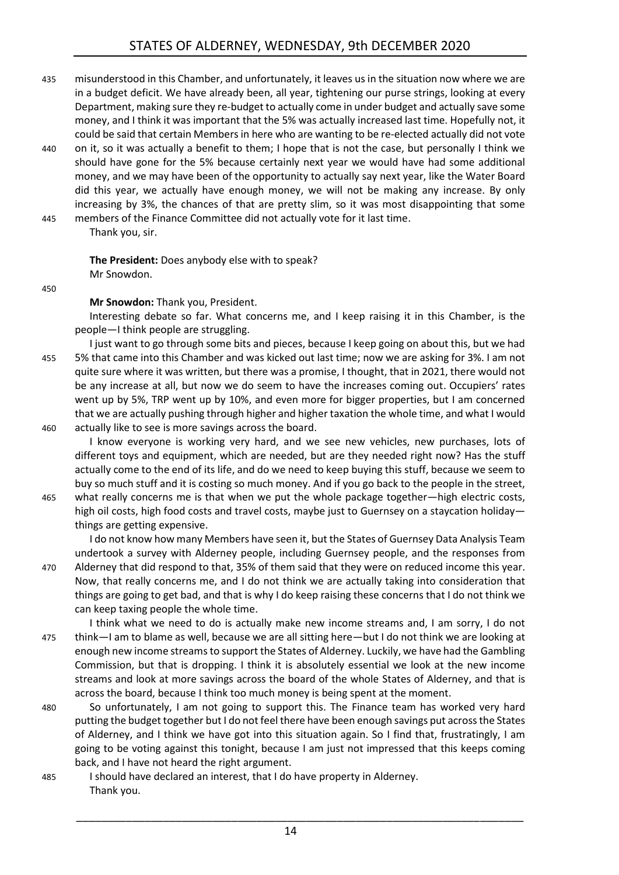- 435 misunderstood in this Chamber, and unfortunately, it leaves us in the situation now where we are in a budget deficit. We have already been, all year, tightening our purse strings, looking at every Department, making sure they re-budget to actually come in under budget and actually save some money, and I think it was important that the 5% was actually increased last time. Hopefully not, it could be said that certain Members in here who are wanting to be re-elected actually did not vote
- 440 on it, so it was actually a benefit to them; I hope that is not the case, but personally I think we should have gone for the 5% because certainly next year we would have had some additional money, and we may have been of the opportunity to actually say next year, like the Water Board did this year, we actually have enough money, we will not be making any increase. By only increasing by 3%, the chances of that are pretty slim, so it was most disappointing that some 445 members of the Finance Committee did not actually vote for it last time.
- 

Thank you, sir.

**The President:** Does anybody else with to speak? Mr Snowdon.

450

**Mr Snowdon:** Thank you, President.

can keep taxing people the whole time.

Interesting debate so far. What concerns me, and I keep raising it in this Chamber, is the people—I think people are struggling.

- I just want to go through some bits and pieces, because I keep going on about this, but we had 455 5% that came into this Chamber and was kicked out last time; now we are asking for 3%. I am not quite sure where it was written, but there was a promise, I thought, that in 2021, there would not be any increase at all, but now we do seem to have the increases coming out. Occupiers' rates went up by 5%, TRP went up by 10%, and even more for bigger properties, but I am concerned that we are actually pushing through higher and higher taxation the whole time, and what I would 460 actually like to see is more savings across the board.
	- I know everyone is working very hard, and we see new vehicles, new purchases, lots of different toys and equipment, which are needed, but are they needed right now? Has the stuff actually come to the end of its life, and do we need to keep buying this stuff, because we seem to buy so much stuff and it is costing so much money. And if you go back to the people in the street,
- 465 what really concerns me is that when we put the whole package together—high electric costs, high oil costs, high food costs and travel costs, maybe just to Guernsey on a staycation holiday things are getting expensive.

I do not know how many Members have seen it, but the States of Guernsey Data Analysis Team undertook a survey with Alderney people, including Guernsey people, and the responses from 470 Alderney that did respond to that, 35% of them said that they were on reduced income this year. Now, that really concerns me, and I do not think we are actually taking into consideration that things are going to get bad, and that is why I do keep raising these concerns that I do not think we

I think what we need to do is actually make new income streams and, I am sorry, I do not 475 think—I am to blame as well, because we are all sitting here—but I do not think we are looking at enough new income streams to support the States of Alderney. Luckily, we have had the Gambling Commission, but that is dropping. I think it is absolutely essential we look at the new income streams and look at more savings across the board of the whole States of Alderney, and that is across the board, because I think too much money is being spent at the moment.

- 480 So unfortunately, I am not going to support this. The Finance team has worked very hard putting the budget together but I do not feel there have been enough savings put across the States of Alderney, and I think we have got into this situation again. So I find that, frustratingly, I am going to be voting against this tonight, because I am just not impressed that this keeps coming back, and I have not heard the right argument.
- 485 I should have declared an interest, that I do have property in Alderney. Thank you.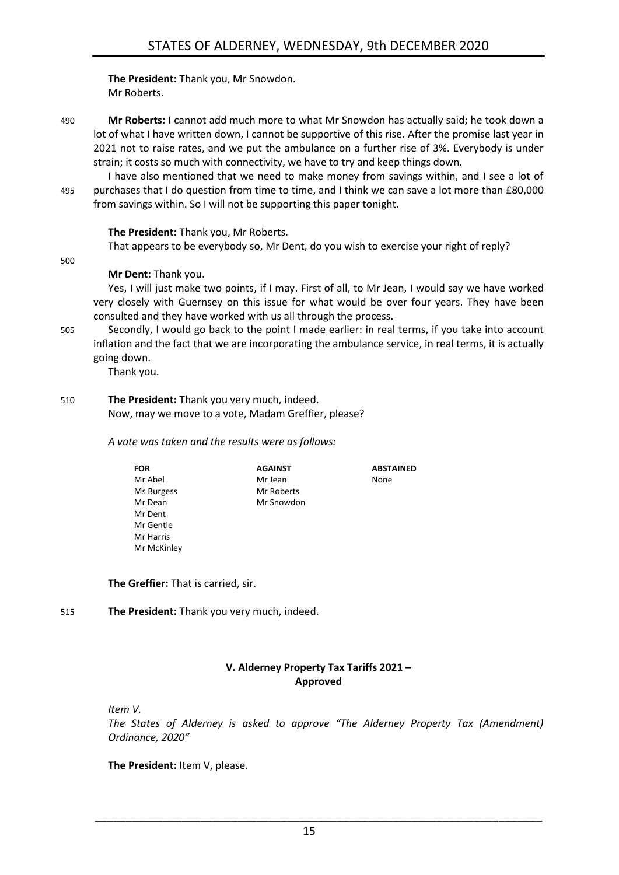**The President:** Thank you, Mr Snowdon. Mr Roberts.

490 **Mr Roberts:** I cannot add much more to what Mr Snowdon has actually said; he took down a lot of what I have written down, I cannot be supportive of this rise. After the promise last year in 2021 not to raise rates, and we put the ambulance on a further rise of 3%. Everybody is under strain; it costs so much with connectivity, we have to try and keep things down.

I have also mentioned that we need to make money from savings within, and I see a lot of 495 purchases that I do question from time to time, and I think we can save a lot more than £80,000 from savings within. So I will not be supporting this paper tonight.

#### **The President:** Thank you, Mr Roberts.

That appears to be everybody so, Mr Dent, do you wish to exercise your right of reply?

500

#### **Mr Dent:** Thank you.

Yes, I will just make two points, if I may. First of all, to Mr Jean, I would say we have worked very closely with Guernsey on this issue for what would be over four years. They have been consulted and they have worked with us all through the process.

505 Secondly, I would go back to the point I made earlier: in real terms, if you take into account inflation and the fact that we are incorporating the ambulance service, in real terms, it is actually going down.

Thank you.

#### 510 **The President:** Thank you very much, indeed. Now, may we move to a vote, Madam Greffier, please?

#### *A vote was taken and the results were as follows:*

| <b>FOR</b>  | <b>AGAINST</b> | <b>ABSTAINED</b> |
|-------------|----------------|------------------|
| Mr Abel     | Mr Jean        | None             |
| Ms Burgess  | Mr Roberts     |                  |
| Mr Dean     | Mr Snowdon     |                  |
| Mr Dent     |                |                  |
| Mr Gentle   |                |                  |
| Mr Harris   |                |                  |
| Mr McKinley |                |                  |

**The Greffier:** That is carried, sir.

# 515 **The President:** Thank you very much, indeed.

# **V. Alderney Property Tax Tariffs 2021 – Approved**

<span id="page-14-0"></span>*Item V.*

*The States of Alderney is asked to approve "The Alderney Property Tax (Amendment) Ordinance, 2020"*

**The President:** Item V, please.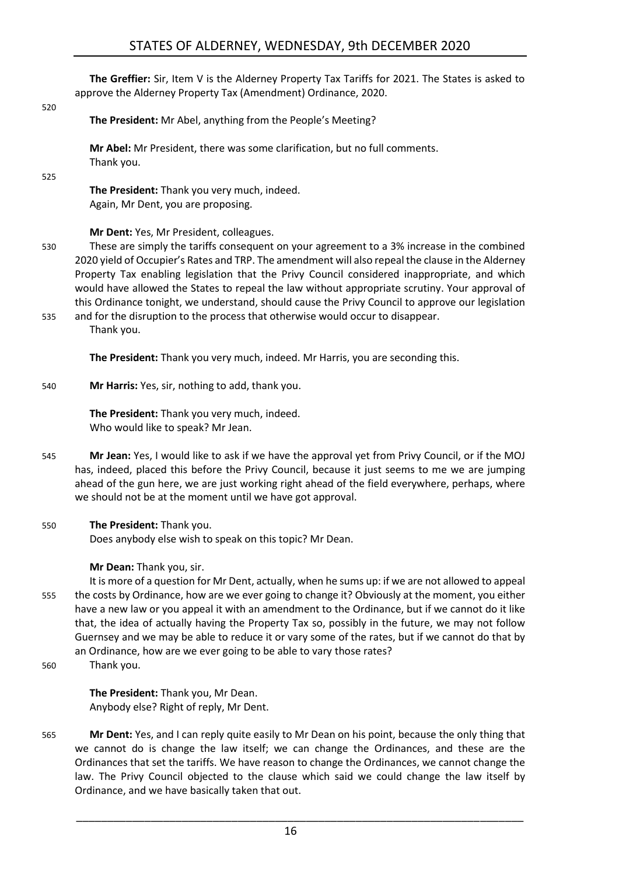# STATES OF ALDERNEY, WEDNESDAY, 9th DECEMBER 2020

**The Greffier:** Sir, Item V is the Alderney Property Tax Tariffs for 2021. The States is asked to approve the Alderney Property Tax (Amendment) Ordinance, 2020.

#### 520

**The President:** Mr Abel, anything from the People's Meeting?

**Mr Abel:** Mr President, there was some clarification, but no full comments. Thank you.

525

**The President:** Thank you very much, indeed. Again, Mr Dent, you are proposing.

**Mr Dent:** Yes, Mr President, colleagues.

- 530 These are simply the tariffs consequent on your agreement to a 3% increase in the combined 2020 yield of Occupier's Rates and TRP. The amendment will also repeal the clause in the Alderney Property Tax enabling legislation that the Privy Council considered inappropriate, and which would have allowed the States to repeal the law without appropriate scrutiny. Your approval of this Ordinance tonight, we understand, should cause the Privy Council to approve our legislation
- 535 and for the disruption to the process that otherwise would occur to disappear. Thank you.

**The President:** Thank you very much, indeed. Mr Harris, you are seconding this.

540 **Mr Harris:** Yes, sir, nothing to add, thank you.

**The President:** Thank you very much, indeed. Who would like to speak? Mr Jean.

- 545 **Mr Jean:** Yes, I would like to ask if we have the approval yet from Privy Council, or if the MOJ has, indeed, placed this before the Privy Council, because it just seems to me we are jumping ahead of the gun here, we are just working right ahead of the field everywhere, perhaps, where we should not be at the moment until we have got approval.
- 550 **The President:** Thank you. Does anybody else wish to speak on this topic? Mr Dean.

**Mr Dean:** Thank you, sir.

- It is more of a question for Mr Dent, actually, when he sums up: if we are not allowed to appeal 555 the costs by Ordinance, how are we ever going to change it? Obviously at the moment, you either have a new law or you appeal it with an amendment to the Ordinance, but if we cannot do it like that, the idea of actually having the Property Tax so, possibly in the future, we may not follow Guernsey and we may be able to reduce it or vary some of the rates, but if we cannot do that by an Ordinance, how are we ever going to be able to vary those rates?
- 560 Thank you.

**The President:** Thank you, Mr Dean. Anybody else? Right of reply, Mr Dent.

565 **Mr Dent:** Yes, and I can reply quite easily to Mr Dean on his point, because the only thing that we cannot do is change the law itself; we can change the Ordinances, and these are the Ordinances that set the tariffs. We have reason to change the Ordinances, we cannot change the law. The Privy Council objected to the clause which said we could change the law itself by Ordinance, and we have basically taken that out.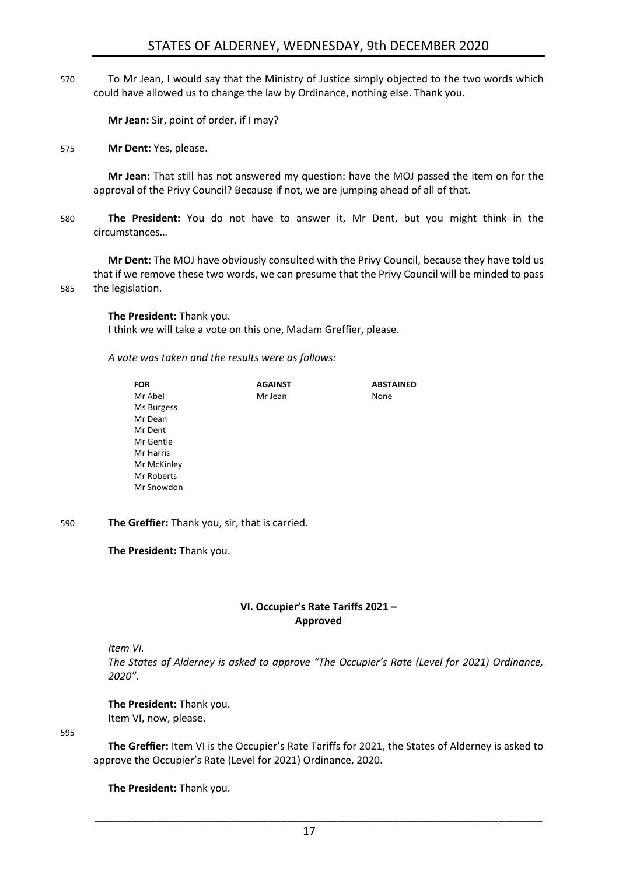# STATES OF ALDERNEY, WEDNESDAY, 9th DECEMBER 2020

570 To Mr Jean, I would say that the Ministry of Justice simply objected to the two words which could have allowed us to change the law by Ordinance, nothing else. Thank you.

**Mr Jean:** Sir, point of order, if I may?

575 **Mr Dent:** Yes, please.

**Mr Jean:** That still has not answered my question: have the MOJ passed the item on for the approval of the Privy Council? Because if not, we are jumping ahead of all of that.

580 **The President:** You do not have to answer it, Mr Dent, but you might think in the circumstances…

**Mr Dent:** The MOJ have obviously consulted with the Privy Council, because they have told us that if we remove these two words, we can presume that the Privy Council will be minded to pass 585 the legislation.

**The President:** Thank you.

I think we will take a vote on this one, Madam Greffier, please.

*A vote was taken and the results were as follows:*

| <b>FOR</b>  | <b>AGAINST</b> | <b>ABSTAINED</b> |
|-------------|----------------|------------------|
| Mr Abel     | Mr Jean        | None             |
| Ms Burgess  |                |                  |
| Mr Dean     |                |                  |
| Mr Dent     |                |                  |
| Mr Gentle   |                |                  |
| Mr Harris   |                |                  |
| Mr McKinley |                |                  |
| Mr Roberts  |                |                  |
| Mr Snowdon  |                |                  |

590 **The Greffier:** Thank you, sir, that is carried.

**The President:** Thank you.

#### **VI. Occupier's Rate Tariffs 2021 – Approved**

<span id="page-16-0"></span>*Item VI.*

*The States of Alderney is asked to approve "The Occupier's Rate (Level for 2021) Ordinance, 2020".*

**The President:** Thank you. Item VI, now, please.

595

**The Greffier:** Item VI is the Occupier's Rate Tariffs for 2021, the States of Alderney is asked to approve the Occupier's Rate (Level for 2021) Ordinance, 2020.

**The President:** Thank you.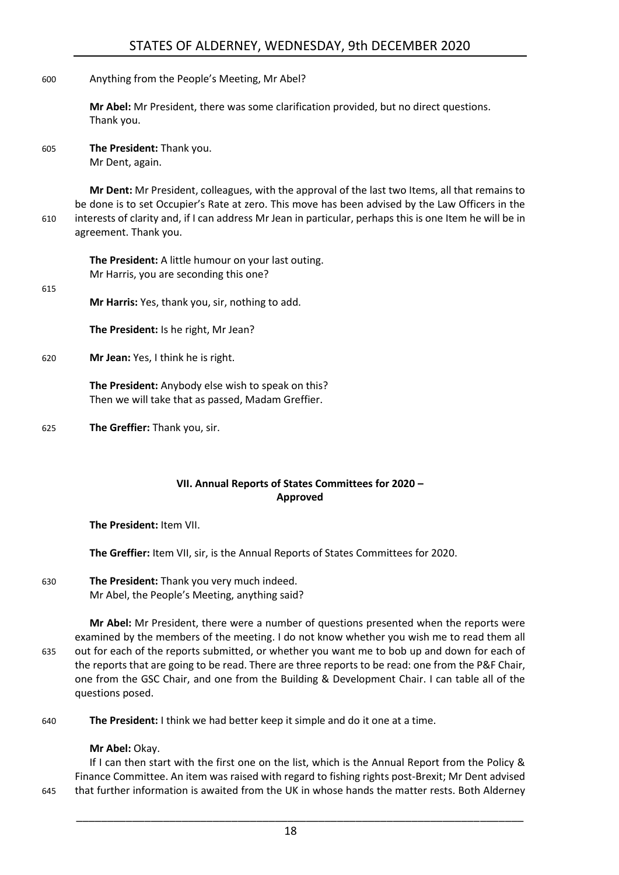600 Anything from the People's Meeting, Mr Abel?

**Mr Abel:** Mr President, there was some clarification provided, but no direct questions. Thank you.

605 **The President:** Thank you. Mr Dent, again.

**Mr Dent:** Mr President, colleagues, with the approval of the last two Items, all that remains to be done is to set Occupier's Rate at zero. This move has been advised by the Law Officers in the 610 interests of clarity and, if I can address Mr Jean in particular, perhaps this is one Item he will be in agreement. Thank you.

**The President:** A little humour on your last outing. Mr Harris, you are seconding this one?

615

**Mr Harris:** Yes, thank you, sir, nothing to add.

**The President:** Is he right, Mr Jean?

620 **Mr Jean:** Yes, I think he is right.

**The President:** Anybody else wish to speak on this? Then we will take that as passed, Madam Greffier.

625 **The Greffier:** Thank you, sir.

# **VII. Annual Reports of States Committees for 2020 – Approved**

<span id="page-17-0"></span>**The President:** Item VII.

**The Greffier:** Item VII, sir, is the Annual Reports of States Committees for 2020.

630 **The President:** Thank you very much indeed. Mr Abel, the People's Meeting, anything said?

**Mr Abel:** Mr President, there were a number of questions presented when the reports were examined by the members of the meeting. I do not know whether you wish me to read them all 635 out for each of the reports submitted, or whether you want me to bob up and down for each of the reports that are going to be read. There are three reports to be read: one from the P&F Chair, one from the GSC Chair, and one from the Building & Development Chair. I can table all of the questions posed.

640 **The President:** I think we had better keep it simple and do it one at a time.

#### **Mr Abel:** Okay.

If I can then start with the first one on the list, which is the Annual Report from the Policy & Finance Committee. An item was raised with regard to fishing rights post-Brexit; Mr Dent advised 645 that further information is awaited from the UK in whose hands the matter rests. Both Alderney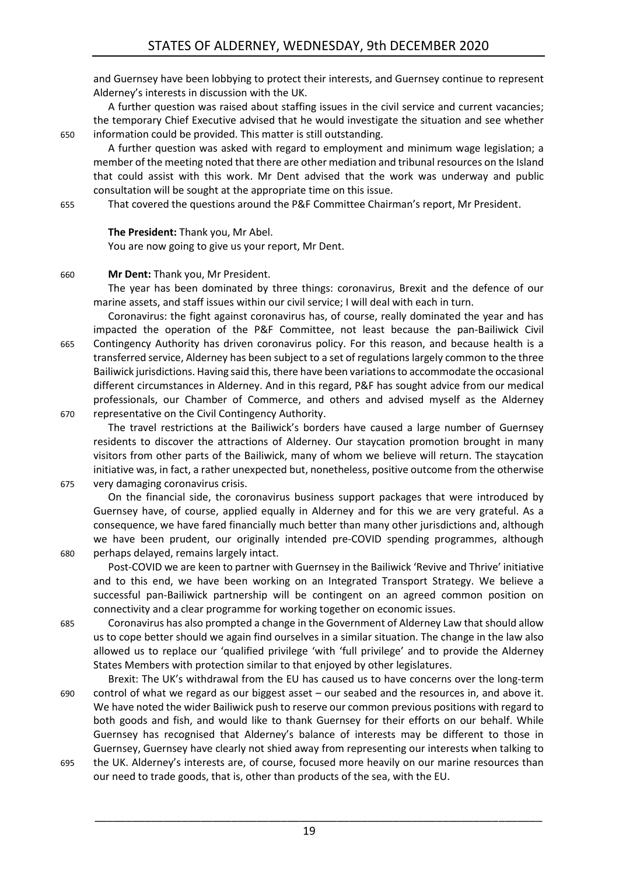and Guernsey have been lobbying to protect their interests, and Guernsey continue to represent Alderney's interests in discussion with the UK.

A further question was raised about staffing issues in the civil service and current vacancies; the temporary Chief Executive advised that he would investigate the situation and see whether 650 information could be provided. This matter is still outstanding.

A further question was asked with regard to employment and minimum wage legislation; a member of the meeting noted that there are other mediation and tribunal resources on the Island that could assist with this work. Mr Dent advised that the work was underway and public consultation will be sought at the appropriate time on this issue.

655 That covered the questions around the P&F Committee Chairman's report, Mr President.

#### **The President:** Thank you, Mr Abel.

You are now going to give us your report, Mr Dent.

#### 660 **Mr Dent:** Thank you, Mr President.

The year has been dominated by three things: coronavirus, Brexit and the defence of our marine assets, and staff issues within our civil service; I will deal with each in turn.

Coronavirus: the fight against coronavirus has, of course, really dominated the year and has impacted the operation of the P&F Committee, not least because the pan-Bailiwick Civil 665 Contingency Authority has driven coronavirus policy. For this reason, and because health is a transferred service, Alderney has been subject to a set of regulations largely common to the three Bailiwick jurisdictions. Having said this, there have been variations to accommodate the occasional different circumstances in Alderney. And in this regard, P&F has sought advice from our medical professionals, our Chamber of Commerce, and others and advised myself as the Alderney 670 representative on the Civil Contingency Authority.

The travel restrictions at the Bailiwick's borders have caused a large number of Guernsey residents to discover the attractions of Alderney. Our staycation promotion brought in many visitors from other parts of the Bailiwick, many of whom we believe will return. The staycation initiative was, in fact, a rather unexpected but, nonetheless, positive outcome from the otherwise 675 very damaging coronavirus crisis.

On the financial side, the coronavirus business support packages that were introduced by Guernsey have, of course, applied equally in Alderney and for this we are very grateful. As a consequence, we have fared financially much better than many other jurisdictions and, although we have been prudent, our originally intended pre-COVID spending programmes, although 680 perhaps delayed, remains largely intact.

Post-COVID we are keen to partner with Guernsey in the Bailiwick 'Revive and Thrive' initiative and to this end, we have been working on an Integrated Transport Strategy. We believe a successful pan-Bailiwick partnership will be contingent on an agreed common position on connectivity and a clear programme for working together on economic issues.

685 Coronavirus has also prompted a change in the Government of Alderney Law that should allow us to cope better should we again find ourselves in a similar situation. The change in the law also allowed us to replace our 'qualified privilege 'with 'full privilege' and to provide the Alderney States Members with protection similar to that enjoyed by other legislatures.

Brexit: The UK's withdrawal from the EU has caused us to have concerns over the long-term 690 control of what we regard as our biggest asset – our seabed and the resources in, and above it. We have noted the wider Bailiwick push to reserve our common previous positions with regard to both goods and fish, and would like to thank Guernsey for their efforts on our behalf. While Guernsey has recognised that Alderney's balance of interests may be different to those in Guernsey, Guernsey have clearly not shied away from representing our interests when talking to

695 the UK. Alderney's interests are, of course, focused more heavily on our marine resources than our need to trade goods, that is, other than products of the sea, with the EU.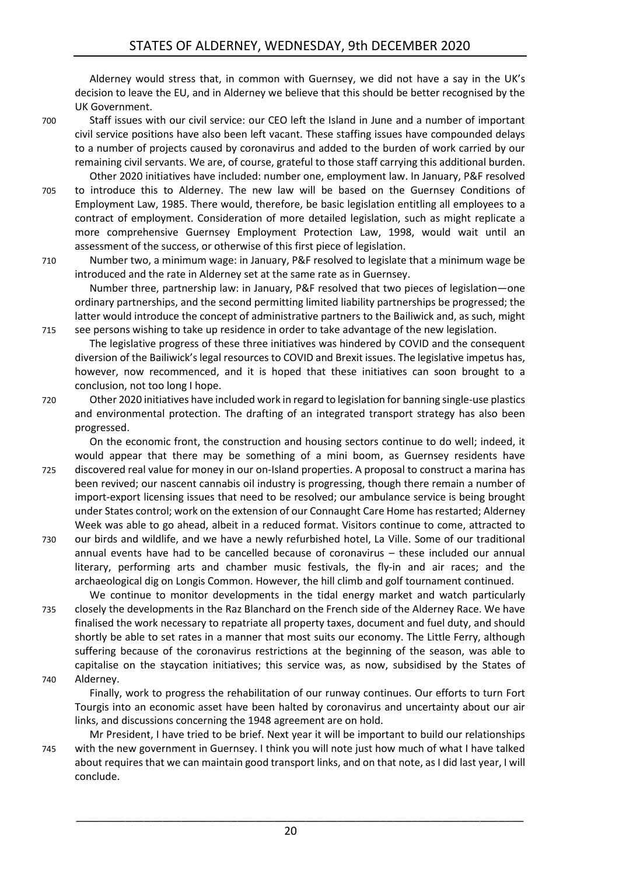Alderney would stress that, in common with Guernsey, we did not have a say in the UK's decision to leave the EU, and in Alderney we believe that this should be better recognised by the UK Government.

700 Staff issues with our civil service: our CEO left the Island in June and a number of important civil service positions have also been left vacant. These staffing issues have compounded delays to a number of projects caused by coronavirus and added to the burden of work carried by our remaining civil servants. We are, of course, grateful to those staff carrying this additional burden. Other 2020 initiatives have included: number one, employment law. In January, P&F resolved

- 705 to introduce this to Alderney. The new law will be based on the Guernsey Conditions of Employment Law, 1985. There would, therefore, be basic legislation entitling all employees to a contract of employment. Consideration of more detailed legislation, such as might replicate a more comprehensive Guernsey Employment Protection Law, 1998, would wait until an assessment of the success, or otherwise of this first piece of legislation.
- 710 Number two, a minimum wage: in January, P&F resolved to legislate that a minimum wage be introduced and the rate in Alderney set at the same rate as in Guernsey.

Number three, partnership law: in January, P&F resolved that two pieces of legislation—one ordinary partnerships, and the second permitting limited liability partnerships be progressed; the latter would introduce the concept of administrative partners to the Bailiwick and, as such, might 715 see persons wishing to take up residence in order to take advantage of the new legislation.

The legislative progress of these three initiatives was hindered by COVID and the consequent diversion of the Bailiwick's legal resources to COVID and Brexit issues. The legislative impetus has, however, now recommenced, and it is hoped that these initiatives can soon brought to a conclusion, not too long I hope.

720 Other 2020 initiatives have included work in regard to legislation for banning single-use plastics and environmental protection. The drafting of an integrated transport strategy has also been progressed.

On the economic front, the construction and housing sectors continue to do well; indeed, it would appear that there may be something of a mini boom, as Guernsey residents have 725 discovered real value for money in our on-Island properties. A proposal to construct a marina has been revived; our nascent cannabis oil industry is progressing, though there remain a number of import-export licensing issues that need to be resolved; our ambulance service is being brought under States control; work on the extension of our Connaught Care Home has restarted; Alderney Week was able to go ahead, albeit in a reduced format. Visitors continue to come, attracted to

730 our birds and wildlife, and we have a newly refurbished hotel, La Ville. Some of our traditional annual events have had to be cancelled because of coronavirus – these included our annual literary, performing arts and chamber music festivals, the fly-in and air races; and the archaeological dig on Longis Common. However, the hill climb and golf tournament continued.

We continue to monitor developments in the tidal energy market and watch particularly 735 closely the developments in the Raz Blanchard on the French side of the Alderney Race. We have finalised the work necessary to repatriate all property taxes, document and fuel duty, and should shortly be able to set rates in a manner that most suits our economy. The Little Ferry, although suffering because of the coronavirus restrictions at the beginning of the season, was able to capitalise on the staycation initiatives; this service was, as now, subsidised by the States of 740 Alderney.

Finally, work to progress the rehabilitation of our runway continues. Our efforts to turn Fort Tourgis into an economic asset have been halted by coronavirus and uncertainty about our air links, and discussions concerning the 1948 agreement are on hold.

Mr President, I have tried to be brief. Next year it will be important to build our relationships 745 with the new government in Guernsey. I think you will note just how much of what I have talked about requires that we can maintain good transport links, and on that note, as I did last year, I will conclude.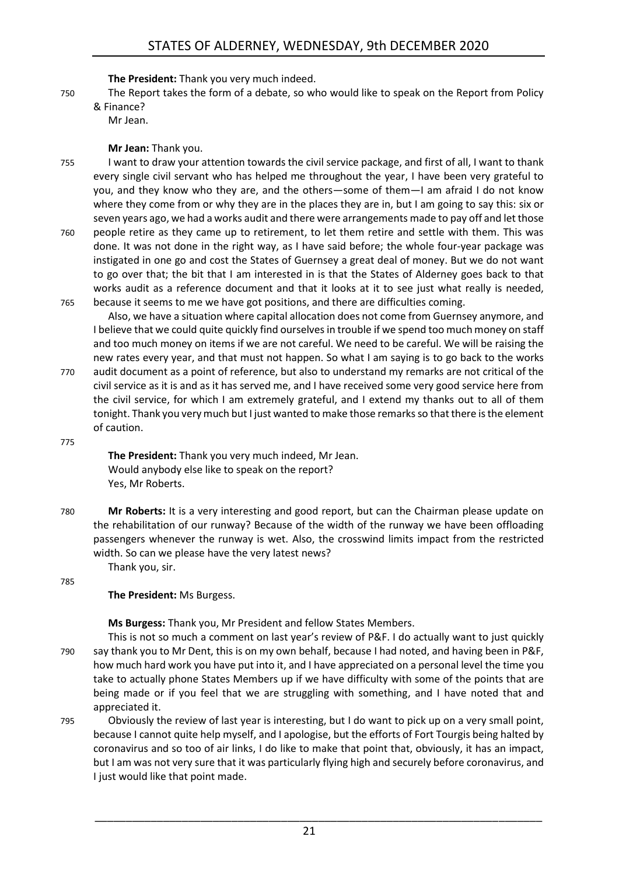**The President:** Thank you very much indeed.

- 750 The Report takes the form of a debate, so who would like to speak on the Report from Policy
	- & Finance? Mr Jean.

#### **Mr Jean:** Thank you.

755 I want to draw your attention towards the civil service package, and first of all, I want to thank every single civil servant who has helped me throughout the year, I have been very grateful to you, and they know who they are, and the others—some of them—I am afraid I do not know where they come from or why they are in the places they are in, but I am going to say this: six or seven years ago, we had a works audit and there were arrangements made to pay off and let those 760 people retire as they came up to retirement, to let them retire and settle with them. This was

done. It was not done in the right way, as I have said before; the whole four-year package was instigated in one go and cost the States of Guernsey a great deal of money. But we do not want to go over that; the bit that I am interested in is that the States of Alderney goes back to that works audit as a reference document and that it looks at it to see just what really is needed, 765 because it seems to me we have got positions, and there are difficulties coming.

Also, we have a situation where capital allocation does not come from Guernsey anymore, and I believe that we could quite quickly find ourselves in trouble if we spend too much money on staff and too much money on items if we are not careful. We need to be careful. We will be raising the new rates every year, and that must not happen. So what I am saying is to go back to the works 770 audit document as a point of reference, but also to understand my remarks are not critical of the

civil service as it is and as it has served me, and I have received some very good service here from the civil service, for which I am extremely grateful, and I extend my thanks out to all of them tonight. Thank you very much but I just wanted to make those remarks so that there is the element of caution.

775

**The President:** Thank you very much indeed, Mr Jean. Would anybody else like to speak on the report? Yes, Mr Roberts.

780 **Mr Roberts:** It is a very interesting and good report, but can the Chairman please update on the rehabilitation of our runway? Because of the width of the runway we have been offloading passengers whenever the runway is wet. Also, the crosswind limits impact from the restricted width. So can we please have the very latest news?

785

# **The President:** Ms Burgess.

Thank you, sir.

**Ms Burgess:** Thank you, Mr President and fellow States Members.

- This is not so much a comment on last year's review of P&F. I do actually want to just quickly 790 say thank you to Mr Dent, this is on my own behalf, because I had noted, and having been in P&F, how much hard work you have put into it, and I have appreciated on a personal level the time you take to actually phone States Members up if we have difficulty with some of the points that are being made or if you feel that we are struggling with something, and I have noted that and appreciated it.
- 795 Obviously the review of last year is interesting, but I do want to pick up on a very small point, because I cannot quite help myself, and I apologise, but the efforts of Fort Tourgis being halted by coronavirus and so too of air links, I do like to make that point that, obviously, it has an impact, but I am was not very sure that it was particularly flying high and securely before coronavirus, and I just would like that point made.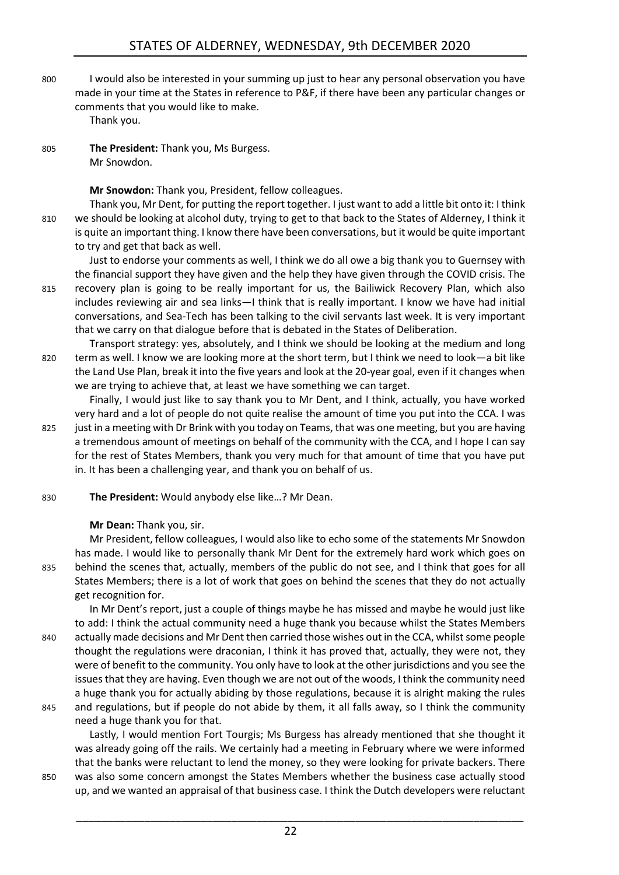800 I would also be interested in your summing up just to hear any personal observation you have made in your time at the States in reference to P&F, if there have been any particular changes or comments that you would like to make.

Thank you.

805 **The President:** Thank you, Ms Burgess. Mr Snowdon.

**Mr Snowdon:** Thank you, President, fellow colleagues.

Thank you, Mr Dent, for putting the report together. I just want to add a little bit onto it: I think 810 we should be looking at alcohol duty, trying to get to that back to the States of Alderney, I think it is quite an important thing. I know there have been conversations, but it would be quite important to try and get that back as well.

Just to endorse your comments as well, I think we do all owe a big thank you to Guernsey with the financial support they have given and the help they have given through the COVID crisis. The 815 recovery plan is going to be really important for us, the Bailiwick Recovery Plan, which also includes reviewing air and sea links—I think that is really important. I know we have had initial conversations, and Sea-Tech has been talking to the civil servants last week. It is very important that we carry on that dialogue before that is debated in the States of Deliberation.

Transport strategy: yes, absolutely, and I think we should be looking at the medium and long 820 term as well. I know we are looking more at the short term, but I think we need to look—a bit like the Land Use Plan, break it into the five years and look at the 20-year goal, even if it changes when we are trying to achieve that, at least we have something we can target.

Finally, I would just like to say thank you to Mr Dent, and I think, actually, you have worked very hard and a lot of people do not quite realise the amount of time you put into the CCA. I was 825 just in a meeting with Dr Brink with you today on Teams, that was one meeting, but you are having a tremendous amount of meetings on behalf of the community with the CCA, and I hope I can say for the rest of States Members, thank you very much for that amount of time that you have put in. It has been a challenging year, and thank you on behalf of us.

- 830 **The President:** Would anybody else like…? Mr Dean.
	- **Mr Dean:** Thank you, sir.

Mr President, fellow colleagues, I would also like to echo some of the statements Mr Snowdon has made. I would like to personally thank Mr Dent for the extremely hard work which goes on 835 behind the scenes that, actually, members of the public do not see, and I think that goes for all States Members; there is a lot of work that goes on behind the scenes that they do not actually get recognition for.

In Mr Dent's report, just a couple of things maybe he has missed and maybe he would just like to add: I think the actual community need a huge thank you because whilst the States Members 840 actually made decisions and Mr Dent then carried those wishes out in the CCA, whilst some people thought the regulations were draconian, I think it has proved that, actually, they were not, they were of benefit to the community. You only have to look at the other jurisdictions and you see the issues that they are having. Even though we are not out of the woods, I think the community need a huge thank you for actually abiding by those regulations, because it is alright making the rules 845 and regulations, but if people do not abide by them, it all falls away, so I think the community

need a huge thank you for that.

Lastly, I would mention Fort Tourgis; Ms Burgess has already mentioned that she thought it was already going off the rails. We certainly had a meeting in February where we were informed that the banks were reluctant to lend the money, so they were looking for private backers. There 850 was also some concern amongst the States Members whether the business case actually stood up, and we wanted an appraisal of that business case. I think the Dutch developers were reluctant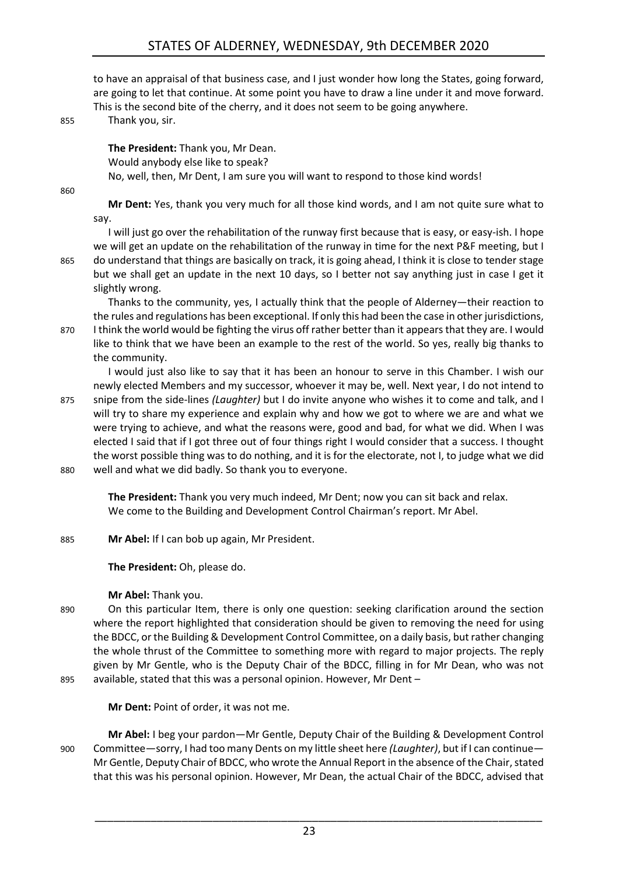# STATES OF ALDERNEY, WEDNESDAY, 9th DECEMBER 2020

to have an appraisal of that business case, and I just wonder how long the States, going forward, are going to let that continue. At some point you have to draw a line under it and move forward. This is the second bite of the cherry, and it does not seem to be going anywhere.

855 Thank you, sir.

**The President:** Thank you, Mr Dean. Would anybody else like to speak? No, well, then, Mr Dent, I am sure you will want to respond to those kind words!

860

**Mr Dent:** Yes, thank you very much for all those kind words, and I am not quite sure what to say.

I will just go over the rehabilitation of the runway first because that is easy, or easy-ish. I hope we will get an update on the rehabilitation of the runway in time for the next P&F meeting, but I 865 do understand that things are basically on track, it is going ahead, I think it is close to tender stage but we shall get an update in the next 10 days, so I better not say anything just in case I get it slightly wrong.

Thanks to the community, yes, I actually think that the people of Alderney—their reaction to the rules and regulations has been exceptional. If only this had been the case in other jurisdictions, 870 I think the world would be fighting the virus off rather better than it appears that they are. I would like to think that we have been an example to the rest of the world. So yes, really big thanks to the community.

I would just also like to say that it has been an honour to serve in this Chamber. I wish our newly elected Members and my successor, whoever it may be, well. Next year, I do not intend to 875 snipe from the side-lines *(Laughter)* but I do invite anyone who wishes it to come and talk, and I will try to share my experience and explain why and how we got to where we are and what we were trying to achieve, and what the reasons were, good and bad, for what we did. When I was elected I said that if I got three out of four things right I would consider that a success. I thought the worst possible thing was to do nothing, and it is for the electorate, not I, to judge what we did

880 well and what we did badly. So thank you to everyone.

**The President:** Thank you very much indeed, Mr Dent; now you can sit back and relax. We come to the Building and Development Control Chairman's report. Mr Abel.

885 **Mr Abel:** If I can bob up again, Mr President.

**The President:** Oh, please do.

#### **Mr Abel:** Thank you.

890 On this particular Item, there is only one question: seeking clarification around the section where the report highlighted that consideration should be given to removing the need for using the BDCC, or the Building & Development Control Committee, on a daily basis, but rather changing the whole thrust of the Committee to something more with regard to major projects. The reply given by Mr Gentle, who is the Deputy Chair of the BDCC, filling in for Mr Dean, who was not 895 available, stated that this was a personal opinion. However, Mr Dent –

**Mr Dent:** Point of order, it was not me.

**Mr Abel:** I beg your pardon—Mr Gentle, Deputy Chair of the Building & Development Control 900 Committee—sorry, I had too many Dents on my little sheet here *(Laughter)*, but if I can continue— Mr Gentle, Deputy Chair of BDCC, who wrote the Annual Report in the absence of the Chair, stated that this was his personal opinion. However, Mr Dean, the actual Chair of the BDCC, advised that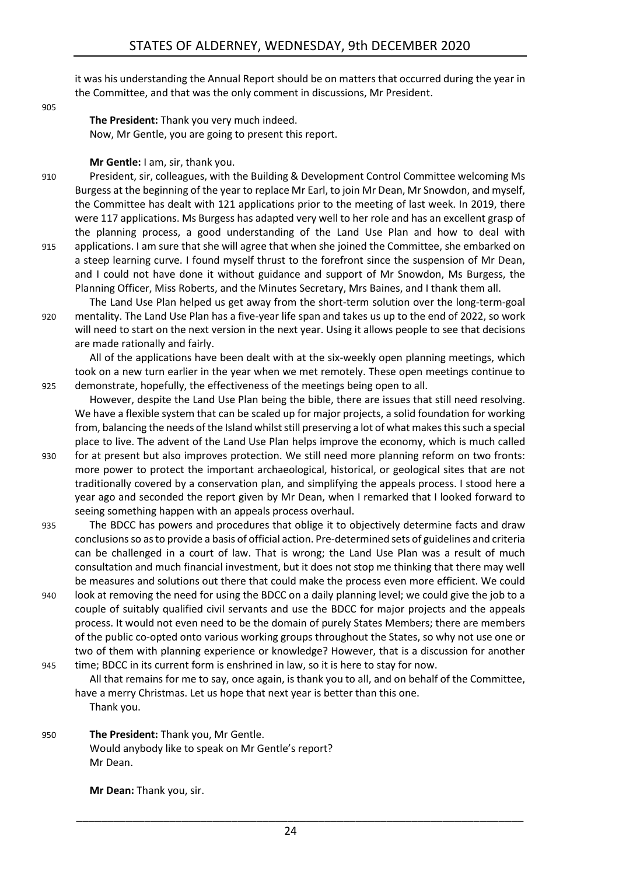it was his understanding the Annual Report should be on matters that occurred during the year in the Committee, and that was the only comment in discussions, Mr President.

905

**The President:** Thank you very much indeed. Now, Mr Gentle, you are going to present this report.

#### **Mr Gentle:** I am, sir, thank you.

- 910 President, sir, colleagues, with the Building & Development Control Committee welcoming Ms Burgess at the beginning of the year to replace Mr Earl, to join Mr Dean, Mr Snowdon, and myself, the Committee has dealt with 121 applications prior to the meeting of last week. In 2019, there were 117 applications. Ms Burgess has adapted very well to her role and has an excellent grasp of the planning process, a good understanding of the Land Use Plan and how to deal with 915 applications. I am sure that she will agree that when she joined the Committee, she embarked on a steep learning curve. I found myself thrust to the forefront since the suspension of Mr Dean, and I could not have done it without guidance and support of Mr Snowdon, Ms Burgess, the Planning Officer, Miss Roberts, and the Minutes Secretary, Mrs Baines, and I thank them all.
- The Land Use Plan helped us get away from the short-term solution over the long-term-goal 920 mentality. The Land Use Plan has a five-year life span and takes us up to the end of 2022, so work will need to start on the next version in the next year. Using it allows people to see that decisions are made rationally and fairly.

All of the applications have been dealt with at the six-weekly open planning meetings, which took on a new turn earlier in the year when we met remotely. These open meetings continue to 925 demonstrate, hopefully, the effectiveness of the meetings being open to all.

However, despite the Land Use Plan being the bible, there are issues that still need resolving. We have a flexible system that can be scaled up for major projects, a solid foundation for working from, balancing the needs of the Island whilst still preserving a lot of what makes this such a special place to live. The advent of the Land Use Plan helps improve the economy, which is much called

- 930 for at present but also improves protection. We still need more planning reform on two fronts: more power to protect the important archaeological, historical, or geological sites that are not traditionally covered by a conservation plan, and simplifying the appeals process. I stood here a year ago and seconded the report given by Mr Dean, when I remarked that I looked forward to seeing something happen with an appeals process overhaul.
- 935 The BDCC has powers and procedures that oblige it to objectively determine facts and draw conclusions so as to provide a basis of official action. Pre-determined sets of guidelines and criteria can be challenged in a court of law. That is wrong; the Land Use Plan was a result of much consultation and much financial investment, but it does not stop me thinking that there may well be measures and solutions out there that could make the process even more efficient. We could
- 940 look at removing the need for using the BDCC on a daily planning level; we could give the job to a couple of suitably qualified civil servants and use the BDCC for major projects and the appeals process. It would not even need to be the domain of purely States Members; there are members of the public co-opted onto various working groups throughout the States, so why not use one or two of them with planning experience or knowledge? However, that is a discussion for another 945 time; BDCC in its current form is enshrined in law, so it is here to stay for now.
	- All that remains for me to say, once again, is thank you to all, and on behalf of the Committee, have a merry Christmas. Let us hope that next year is better than this one.

Thank you.

950 **The President:** Thank you, Mr Gentle. Would anybody like to speak on Mr Gentle's report? Mr Dean.

**Mr Dean:** Thank you, sir.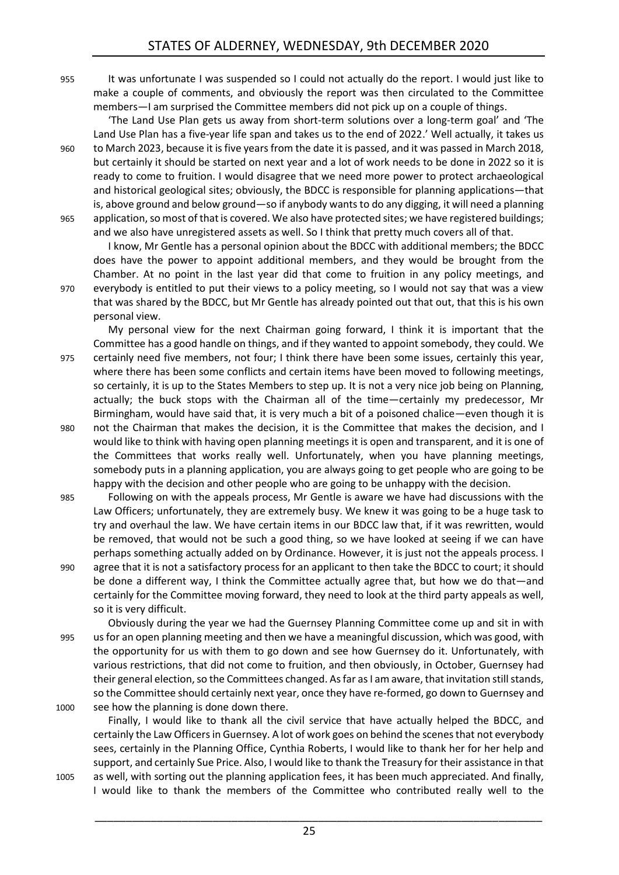955 It was unfortunate I was suspended so I could not actually do the report. I would just like to make a couple of comments, and obviously the report was then circulated to the Committee members—I am surprised the Committee members did not pick up on a couple of things.

'The Land Use Plan gets us away from short-term solutions over a long-term goal' and 'The Land Use Plan has a five-year life span and takes us to the end of 2022.' Well actually, it takes us 960 to March 2023, because it is five years from the date it is passed, and it was passed in March 2018, but certainly it should be started on next year and a lot of work needs to be done in 2022 so it is ready to come to fruition. I would disagree that we need more power to protect archaeological and historical geological sites; obviously, the BDCC is responsible for planning applications—that is, above ground and below ground—so if anybody wants to do any digging, it will need a planning 965 application, so most of that is covered. We also have protected sites; we have registered buildings; and we also have unregistered assets as well. So I think that pretty much covers all of that.

I know, Mr Gentle has a personal opinion about the BDCC with additional members; the BDCC does have the power to appoint additional members, and they would be brought from the Chamber. At no point in the last year did that come to fruition in any policy meetings, and 970 everybody is entitled to put their views to a policy meeting, so I would not say that was a view that was shared by the BDCC, but Mr Gentle has already pointed out that out, that this is his own personal view.

My personal view for the next Chairman going forward, I think it is important that the Committee has a good handle on things, and if they wanted to appoint somebody, they could. We 975 certainly need five members, not four; I think there have been some issues, certainly this year, where there has been some conflicts and certain items have been moved to following meetings, so certainly, it is up to the States Members to step up. It is not a very nice job being on Planning, actually; the buck stops with the Chairman all of the time—certainly my predecessor, Mr Birmingham, would have said that, it is very much a bit of a poisoned chalice—even though it is 980 not the Chairman that makes the decision, it is the Committee that makes the decision, and I would like to think with having open planning meetings it is open and transparent, and it is one of the Committees that works really well. Unfortunately, when you have planning meetings, somebody puts in a planning application, you are always going to get people who are going to be happy with the decision and other people who are going to be unhappy with the decision.

- 985 Following on with the appeals process, Mr Gentle is aware we have had discussions with the Law Officers; unfortunately, they are extremely busy. We knew it was going to be a huge task to try and overhaul the law. We have certain items in our BDCC law that, if it was rewritten, would be removed, that would not be such a good thing, so we have looked at seeing if we can have perhaps something actually added on by Ordinance. However, it is just not the appeals process. I 990 agree that it is not a satisfactory process for an applicant to then take the BDCC to court; it should be done a different way, I think the Committee actually agree that, but how we do that—and
- certainly for the Committee moving forward, they need to look at the third party appeals as well, so it is very difficult.

Obviously during the year we had the Guernsey Planning Committee come up and sit in with 995 us for an open planning meeting and then we have a meaningful discussion, which was good, with the opportunity for us with them to go down and see how Guernsey do it. Unfortunately, with various restrictions, that did not come to fruition, and then obviously, in October, Guernsey had their general election, so the Committees changed. As far as I am aware, that invitation still stands, so the Committee should certainly next year, once they have re-formed, go down to Guernsey and 1000 see how the planning is done down there.

- Finally, I would like to thank all the civil service that have actually helped the BDCC, and certainly the Law Officers in Guernsey. A lot of work goes on behind the scenes that not everybody sees, certainly in the Planning Office, Cynthia Roberts, I would like to thank her for her help and support, and certainly Sue Price. Also, I would like to thank the Treasury for their assistance in that
- 1005 as well, with sorting out the planning application fees, it has been much appreciated. And finally, I would like to thank the members of the Committee who contributed really well to the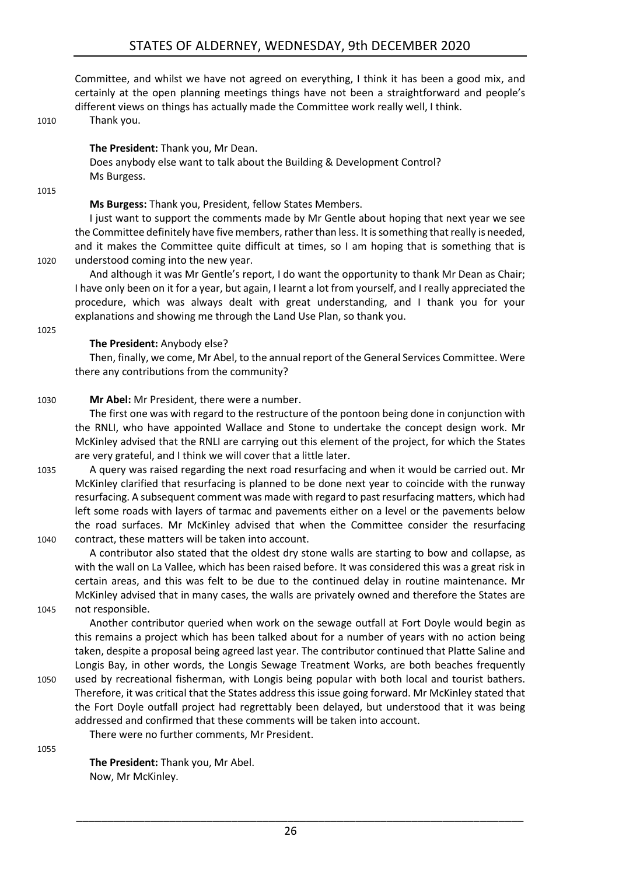Committee, and whilst we have not agreed on everything, I think it has been a good mix, and certainly at the open planning meetings things have not been a straightforward and people's different views on things has actually made the Committee work really well, I think.

1010 Thank you.

**The President:** Thank you, Mr Dean.

Does anybody else want to talk about the Building & Development Control? Ms Burgess.

1015

#### **Ms Burgess:** Thank you, President, fellow States Members.

I just want to support the comments made by Mr Gentle about hoping that next year we see the Committee definitely have five members, rather than less. It is something that really is needed, and it makes the Committee quite difficult at times, so I am hoping that is something that is 1020 understood coming into the new year.

And although it was Mr Gentle's report, I do want the opportunity to thank Mr Dean as Chair; I have only been on it for a year, but again, I learnt a lot from yourself, and I really appreciated the procedure, which was always dealt with great understanding, and I thank you for your explanations and showing me through the Land Use Plan, so thank you.

#### 1025

#### **The President:** Anybody else?

Then, finally, we come, Mr Abel, to the annual report of the General Services Committee. Were there any contributions from the community?

1030 **Mr Abel:** Mr President, there were a number.

The first one was with regard to the restructure of the pontoon being done in conjunction with the RNLI, who have appointed Wallace and Stone to undertake the concept design work. Mr McKinley advised that the RNLI are carrying out this element of the project, for which the States are very grateful, and I think we will cover that a little later.

1035 A query was raised regarding the next road resurfacing and when it would be carried out. Mr McKinley clarified that resurfacing is planned to be done next year to coincide with the runway resurfacing. A subsequent comment was made with regard to past resurfacing matters, which had left some roads with layers of tarmac and pavements either on a level or the pavements below the road surfaces. Mr McKinley advised that when the Committee consider the resurfacing 1040 contract, these matters will be taken into account.

A contributor also stated that the oldest dry stone walls are starting to bow and collapse, as with the wall on La Vallee, which has been raised before. It was considered this was a great risk in certain areas, and this was felt to be due to the continued delay in routine maintenance. Mr McKinley advised that in many cases, the walls are privately owned and therefore the States are

1045 not responsible.

Another contributor queried when work on the sewage outfall at Fort Doyle would begin as this remains a project which has been talked about for a number of years with no action being taken, despite a proposal being agreed last year. The contributor continued that Platte Saline and Longis Bay, in other words, the Longis Sewage Treatment Works, are both beaches frequently 1050 used by recreational fisherman, with Longis being popular with both local and tourist bathers. Therefore, it was critical that the States address this issue going forward. Mr McKinley stated that

the Fort Doyle outfall project had regrettably been delayed, but understood that it was being addressed and confirmed that these comments will be taken into account.

There were no further comments, Mr President.

1055

**The President:** Thank you, Mr Abel. Now, Mr McKinley.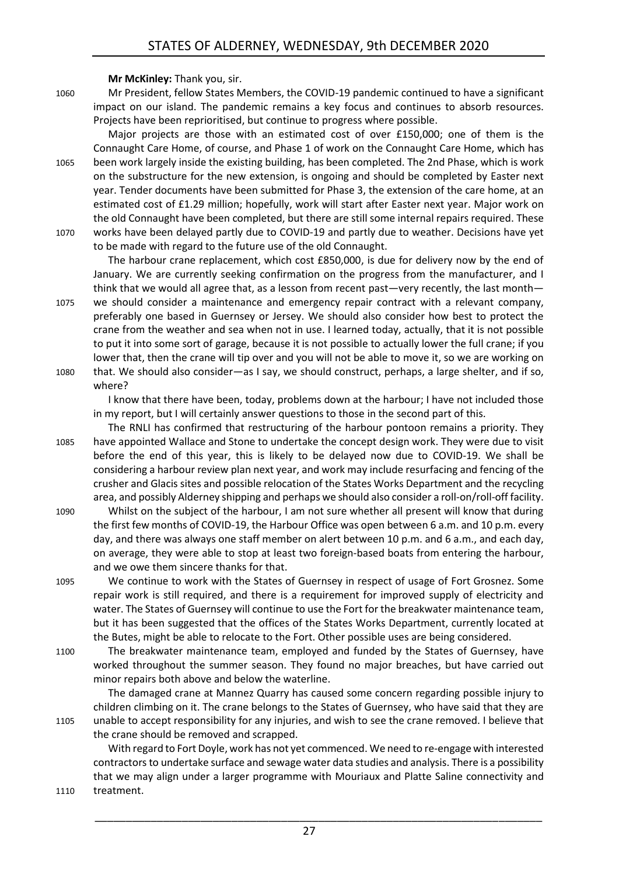**Mr McKinley:** Thank you, sir.

1060 Mr President, fellow States Members, the COVID-19 pandemic continued to have a significant impact on our island. The pandemic remains a key focus and continues to absorb resources. Projects have been reprioritised, but continue to progress where possible.

Major projects are those with an estimated cost of over £150,000; one of them is the Connaught Care Home, of course, and Phase 1 of work on the Connaught Care Home, which has 1065 been work largely inside the existing building, has been completed. The 2nd Phase, which is work on the substructure for the new extension, is ongoing and should be completed by Easter next year. Tender documents have been submitted for Phase 3, the extension of the care home, at an estimated cost of £1.29 million; hopefully, work will start after Easter next year. Major work on the old Connaught have been completed, but there are still some internal repairs required. These 1070 works have been delayed partly due to COVID-19 and partly due to weather. Decisions have yet to be made with regard to the future use of the old Connaught.

The harbour crane replacement, which cost £850,000, is due for delivery now by the end of January. We are currently seeking confirmation on the progress from the manufacturer, and I think that we would all agree that, as a lesson from recent past—very recently, the last month— 1075 we should consider a maintenance and emergency repair contract with a relevant company, preferably one based in Guernsey or Jersey. We should also consider how best to protect the crane from the weather and sea when not in use. I learned today, actually, that it is not possible to put it into some sort of garage, because it is not possible to actually lower the full crane; if you lower that, then the crane will tip over and you will not be able to move it, so we are working on 1080 that. We should also consider—as I say, we should construct, perhaps, a large shelter, and if so, where?

I know that there have been, today, problems down at the harbour; I have not included those in my report, but I will certainly answer questions to those in the second part of this.

The RNLI has confirmed that restructuring of the harbour pontoon remains a priority. They 1085 have appointed Wallace and Stone to undertake the concept design work. They were due to visit before the end of this year, this is likely to be delayed now due to COVID-19. We shall be considering a harbour review plan next year, and work may include resurfacing and fencing of the crusher and Glacis sites and possible relocation of the States Works Department and the recycling area, and possibly Alderney shipping and perhaps we should also consider a roll-on/roll-off facility.

- 1090 Whilst on the subject of the harbour, I am not sure whether all present will know that during the first few months of COVID-19, the Harbour Office was open between 6 a.m. and 10 p.m. every day, and there was always one staff member on alert between 10 p.m. and 6 a.m., and each day, on average, they were able to stop at least two foreign-based boats from entering the harbour, and we owe them sincere thanks for that.
- 1095 We continue to work with the States of Guernsey in respect of usage of Fort Grosnez. Some repair work is still required, and there is a requirement for improved supply of electricity and water. The States of Guernsey will continue to use the Fort for the breakwater maintenance team, but it has been suggested that the offices of the States Works Department, currently located at the Butes, might be able to relocate to the Fort. Other possible uses are being considered.
- 1100 The breakwater maintenance team, employed and funded by the States of Guernsey, have worked throughout the summer season. They found no major breaches, but have carried out minor repairs both above and below the waterline.

The damaged crane at Mannez Quarry has caused some concern regarding possible injury to children climbing on it. The crane belongs to the States of Guernsey, who have said that they are 1105 unable to accept responsibility for any injuries, and wish to see the crane removed. I believe that the crane should be removed and scrapped.

With regard to Fort Doyle, work has not yet commenced. We need to re-engage with interested contractors to undertake surface and sewage water data studies and analysis. There is a possibility that we may align under a larger programme with Mouriaux and Platte Saline connectivity and 1110 treatment.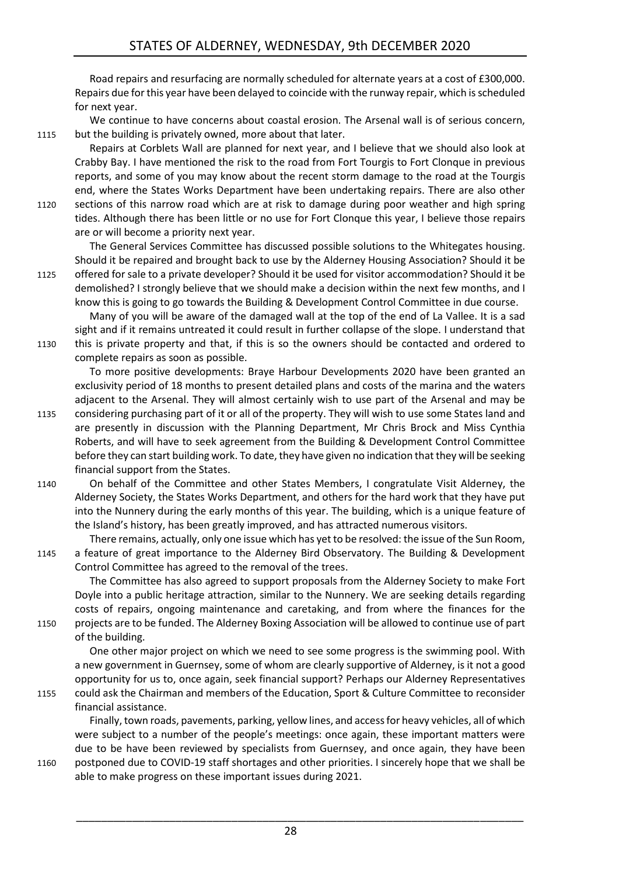Road repairs and resurfacing are normally scheduled for alternate years at a cost of £300,000. Repairs due for this year have been delayed to coincide with the runway repair, which is scheduled for next year.

We continue to have concerns about coastal erosion. The Arsenal wall is of serious concern, 1115 but the building is privately owned, more about that later.

Repairs at Corblets Wall are planned for next year, and I believe that we should also look at Crabby Bay. I have mentioned the risk to the road from Fort Tourgis to Fort Clonque in previous reports, and some of you may know about the recent storm damage to the road at the Tourgis end, where the States Works Department have been undertaking repairs. There are also other 1120 sections of this narrow road which are at risk to damage during poor weather and high spring

tides. Although there has been little or no use for Fort Clonque this year, I believe those repairs are or will become a priority next year.

The General Services Committee has discussed possible solutions to the Whitegates housing. Should it be repaired and brought back to use by the Alderney Housing Association? Should it be 1125 offered for sale to a private developer? Should it be used for visitor accommodation? Should it be

demolished? I strongly believe that we should make a decision within the next few months, and I know this is going to go towards the Building & Development Control Committee in due course.

Many of you will be aware of the damaged wall at the top of the end of La Vallee. It is a sad sight and if it remains untreated it could result in further collapse of the slope. I understand that 1130 this is private property and that, if this is so the owners should be contacted and ordered to complete repairs as soon as possible.

To more positive developments: Braye Harbour Developments 2020 have been granted an exclusivity period of 18 months to present detailed plans and costs of the marina and the waters adjacent to the Arsenal. They will almost certainly wish to use part of the Arsenal and may be

- 1135 considering purchasing part of it or all of the property. They will wish to use some States land and are presently in discussion with the Planning Department, Mr Chris Brock and Miss Cynthia Roberts, and will have to seek agreement from the Building & Development Control Committee before they can start building work. To date, they have given no indication that they will be seeking financial support from the States.
- 1140 On behalf of the Committee and other States Members, I congratulate Visit Alderney, the Alderney Society, the States Works Department, and others for the hard work that they have put into the Nunnery during the early months of this year. The building, which is a unique feature of the Island's history, has been greatly improved, and has attracted numerous visitors.

There remains, actually, only one issue which has yet to be resolved: the issue of the Sun Room, 1145 a feature of great importance to the Alderney Bird Observatory. The Building & Development

Control Committee has agreed to the removal of the trees. The Committee has also agreed to support proposals from the Alderney Society to make Fort Doyle into a public heritage attraction, similar to the Nunnery. We are seeking details regarding costs of repairs, ongoing maintenance and caretaking, and from where the finances for the 1150 projects are to be funded. The Alderney Boxing Association will be allowed to continue use of part of the building.

One other major project on which we need to see some progress is the swimming pool. With a new government in Guernsey, some of whom are clearly supportive of Alderney, is it not a good opportunity for us to, once again, seek financial support? Perhaps our Alderney Representatives 1155 could ask the Chairman and members of the Education, Sport & Culture Committee to reconsider

#### financial assistance.

Finally, town roads, pavements, parking, yellow lines, and access for heavy vehicles, all of which were subject to a number of the people's meetings: once again, these important matters were due to be have been reviewed by specialists from Guernsey, and once again, they have been 1160 postponed due to COVID-19 staff shortages and other priorities. I sincerely hope that we shall be able to make progress on these important issues during 2021.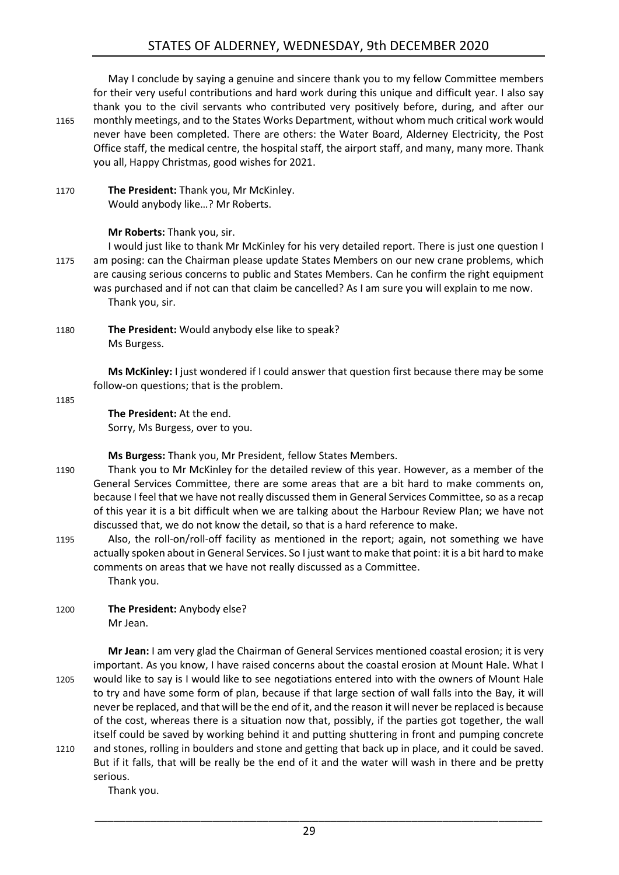May I conclude by saying a genuine and sincere thank you to my fellow Committee members for their very useful contributions and hard work during this unique and difficult year. I also say thank you to the civil servants who contributed very positively before, during, and after our 1165 monthly meetings, and to the States Works Department, without whom much critical work would never have been completed. There are others: the Water Board, Alderney Electricity, the Post Office staff, the medical centre, the hospital staff, the airport staff, and many, many more. Thank you all, Happy Christmas, good wishes for 2021.

1170 **The President:** Thank you, Mr McKinley. Would anybody like…? Mr Roberts.

#### **Mr Roberts:** Thank you, sir.

I would just like to thank Mr McKinley for his very detailed report. There is just one question I 1175 am posing: can the Chairman please update States Members on our new crane problems, which are causing serious concerns to public and States Members. Can he confirm the right equipment was purchased and if not can that claim be cancelled? As I am sure you will explain to me now. Thank you, sir.

1180 **The President:** Would anybody else like to speak? Ms Burgess.

> **Ms McKinley:** I just wondered if I could answer that question first because there may be some follow-on questions; that is the problem.

1185

**The President:** At the end. Sorry, Ms Burgess, over to you.

**Ms Burgess:** Thank you, Mr President, fellow States Members.

- 1190 Thank you to Mr McKinley for the detailed review of this year. However, as a member of the General Services Committee, there are some areas that are a bit hard to make comments on, because I feel that we have not really discussed them in General Services Committee, so as a recap of this year it is a bit difficult when we are talking about the Harbour Review Plan; we have not discussed that, we do not know the detail, so that is a hard reference to make.
- 1195 Also, the roll-on/roll-off facility as mentioned in the report; again, not something we have actually spoken about in General Services. So I just want to make that point: it is a bit hard to make comments on areas that we have not really discussed as a Committee. Thank you.
- 1200 **The President:** Anybody else? Mr Jean.

**Mr Jean:** I am very glad the Chairman of General Services mentioned coastal erosion; it is very important. As you know, I have raised concerns about the coastal erosion at Mount Hale. What I 1205 would like to say is I would like to see negotiations entered into with the owners of Mount Hale to try and have some form of plan, because if that large section of wall falls into the Bay, it will never be replaced, and that will be the end of it, and the reason it will never be replaced is because of the cost, whereas there is a situation now that, possibly, if the parties got together, the wall itself could be saved by working behind it and putting shuttering in front and pumping concrete 1210 and stones, rolling in boulders and stone and getting that back up in place, and it could be saved. But if it falls, that will be really be the end of it and the water will wash in there and be pretty serious.

Thank you.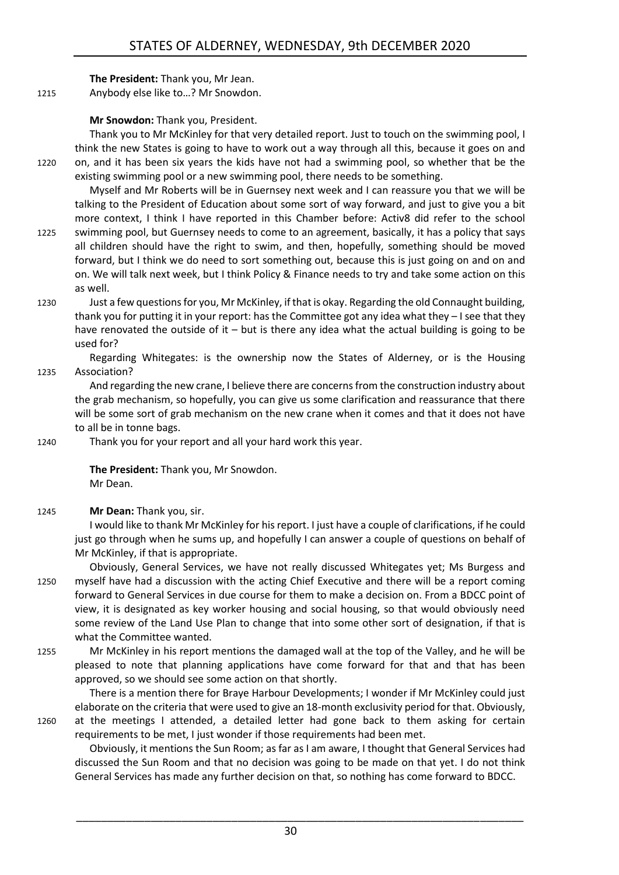**The President:** Thank you, Mr Jean. 1215 Anybody else like to…? Mr Snowdon.

**Mr Snowdon:** Thank you, President.

Thank you to Mr McKinley for that very detailed report. Just to touch on the swimming pool, I think the new States is going to have to work out a way through all this, because it goes on and 1220 on, and it has been six years the kids have not had a swimming pool, so whether that be the existing swimming pool or a new swimming pool, there needs to be something.

Myself and Mr Roberts will be in Guernsey next week and I can reassure you that we will be talking to the President of Education about some sort of way forward, and just to give you a bit more context, I think I have reported in this Chamber before: Activ8 did refer to the school

- 1225 swimming pool, but Guernsey needs to come to an agreement, basically, it has a policy that says all children should have the right to swim, and then, hopefully, something should be moved forward, but I think we do need to sort something out, because this is just going on and on and on. We will talk next week, but I think Policy & Finance needs to try and take some action on this as well.
- 1230 Just a few questionsfor you, Mr McKinley, if that is okay. Regarding the old Connaught building, thank you for putting it in your report: has the Committee got any idea what they – I see that they have renovated the outside of it – but is there any idea what the actual building is going to be used for?

Regarding Whitegates: is the ownership now the States of Alderney, or is the Housing 1235 Association?

And regarding the new crane, I believe there are concerns from the construction industry about the grab mechanism, so hopefully, you can give us some clarification and reassurance that there will be some sort of grab mechanism on the new crane when it comes and that it does not have to all be in tonne bags.

1240 Thank you for your report and all your hard work this year.

**The President:** Thank you, Mr Snowdon. Mr Dean.

#### 1245 **Mr Dean:** Thank you, sir.

I would like to thank Mr McKinley for his report. I just have a couple of clarifications, if he could just go through when he sums up, and hopefully I can answer a couple of questions on behalf of Mr McKinley, if that is appropriate.

- Obviously, General Services, we have not really discussed Whitegates yet; Ms Burgess and 1250 myself have had a discussion with the acting Chief Executive and there will be a report coming forward to General Services in due course for them to make a decision on. From a BDCC point of view, it is designated as key worker housing and social housing, so that would obviously need some review of the Land Use Plan to change that into some other sort of designation, if that is what the Committee wanted.
- 1255 Mr McKinley in his report mentions the damaged wall at the top of the Valley, and he will be pleased to note that planning applications have come forward for that and that has been approved, so we should see some action on that shortly.

There is a mention there for Braye Harbour Developments; I wonder if Mr McKinley could just elaborate on the criteria that were used to give an 18-month exclusivity period for that. Obviously,

1260 at the meetings I attended, a detailed letter had gone back to them asking for certain requirements to be met, I just wonder if those requirements had been met.

Obviously, it mentions the Sun Room; as far as I am aware, I thought that General Services had discussed the Sun Room and that no decision was going to be made on that yet. I do not think General Services has made any further decision on that, so nothing has come forward to BDCC.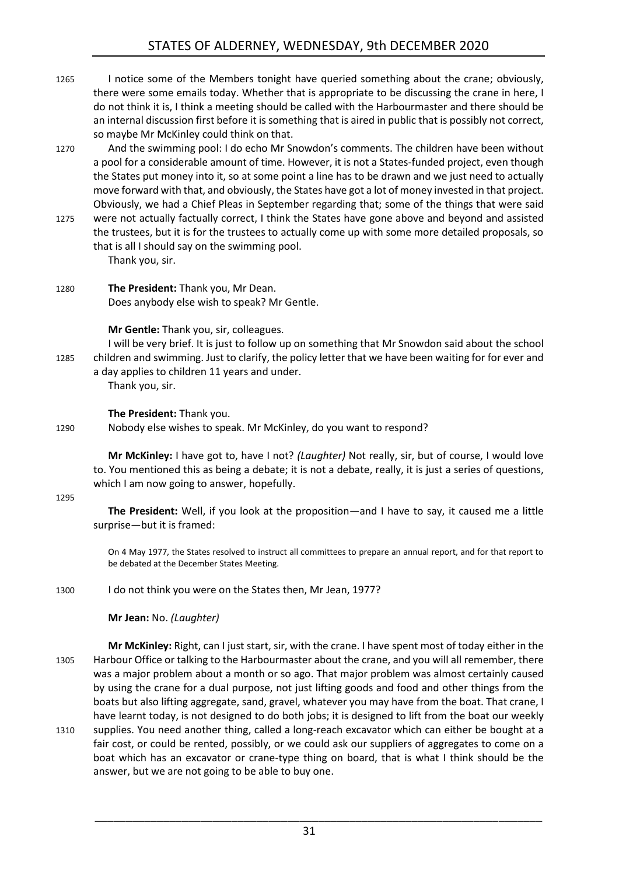- 1265 I notice some of the Members tonight have queried something about the crane; obviously, there were some emails today. Whether that is appropriate to be discussing the crane in here, I do not think it is, I think a meeting should be called with the Harbourmaster and there should be an internal discussion first before it is something that is aired in public that is possibly not correct, so maybe Mr McKinley could think on that.
- 1270 And the swimming pool: I do echo Mr Snowdon's comments. The children have been without a pool for a considerable amount of time. However, it is not a States-funded project, even though the States put money into it, so at some point a line has to be drawn and we just need to actually move forward with that, and obviously, the States have got a lot of money invested in that project. Obviously, we had a Chief Pleas in September regarding that; some of the things that were said
- 1275 were not actually factually correct, I think the States have gone above and beyond and assisted the trustees, but it is for the trustees to actually come up with some more detailed proposals, so that is all I should say on the swimming pool. Thank you, sir.
- 1280 **The President:** Thank you, Mr Dean. Does anybody else wish to speak? Mr Gentle.

**Mr Gentle:** Thank you, sir, colleagues.

I will be very brief. It is just to follow up on something that Mr Snowdon said about the school 1285 children and swimming. Just to clarify, the policy letter that we have been waiting for for ever and a day applies to children 11 years and under.

Thank you, sir.

#### **The President:** Thank you.

1290 Nobody else wishes to speak. Mr McKinley, do you want to respond?

**Mr McKinley:** I have got to, have I not? *(Laughter)* Not really, sir, but of course, I would love to. You mentioned this as being a debate; it is not a debate, really, it is just a series of questions, which I am now going to answer, hopefully.

1295

**The President:** Well, if you look at the proposition—and I have to say, it caused me a little surprise—but it is framed:

On 4 May 1977, the States resolved to instruct all committees to prepare an annual report, and for that report to be debated at the December States Meeting.

1300 I do not think you were on the States then, Mr Jean, 1977?

**Mr Jean:** No. *(Laughter)*

**Mr McKinley:** Right, can I just start, sir, with the crane. I have spent most of today either in the 1305 Harbour Office or talking to the Harbourmaster about the crane, and you will all remember, there was a major problem about a month or so ago. That major problem was almost certainly caused by using the crane for a dual purpose, not just lifting goods and food and other things from the boats but also lifting aggregate, sand, gravel, whatever you may have from the boat. That crane, I have learnt today, is not designed to do both jobs; it is designed to lift from the boat our weekly 1310 supplies. You need another thing, called a long-reach excavator which can either be bought at a fair cost, or could be rented, possibly, or we could ask our suppliers of aggregates to come on a boat which has an excavator or crane-type thing on board, that is what I think should be the answer, but we are not going to be able to buy one.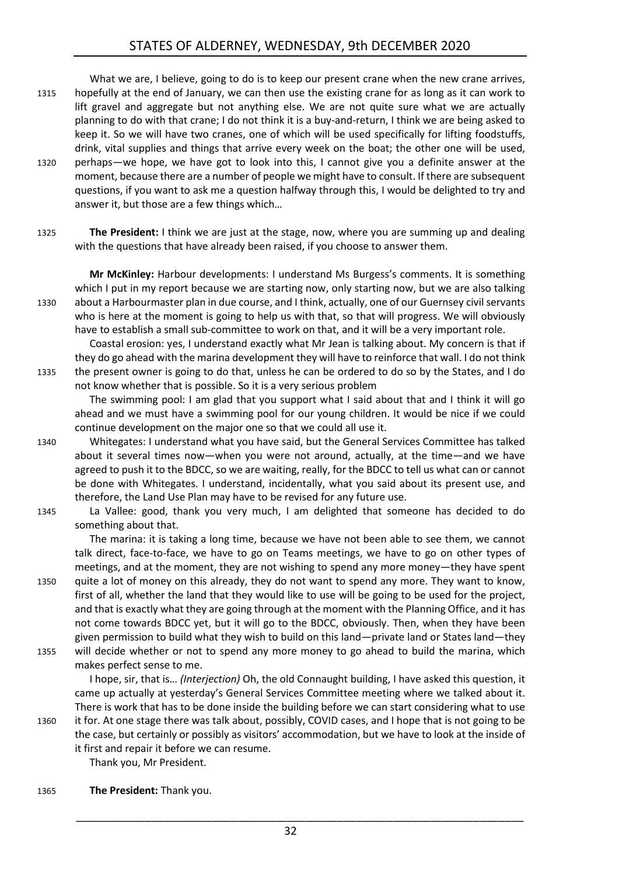What we are, I believe, going to do is to keep our present crane when the new crane arrives, 1315 hopefully at the end of January, we can then use the existing crane for as long as it can work to lift gravel and aggregate but not anything else. We are not quite sure what we are actually planning to do with that crane; I do not think it is a buy-and-return, I think we are being asked to keep it. So we will have two cranes, one of which will be used specifically for lifting foodstuffs, drink, vital supplies and things that arrive every week on the boat; the other one will be used, 1320 perhaps—we hope, we have got to look into this, I cannot give you a definite answer at the moment, because there are a number of people we might have to consult. If there are subsequent questions, if you want to ask me a question halfway through this, I would be delighted to try and answer it, but those are a few things which…

1325 **The President:** I think we are just at the stage, now, where you are summing up and dealing with the questions that have already been raised, if you choose to answer them.

**Mr McKinley:** Harbour developments: I understand Ms Burgess's comments. It is something which I put in my report because we are starting now, only starting now, but we are also talking 1330 about a Harbourmaster plan in due course, and I think, actually, one of our Guernsey civil servants who is here at the moment is going to help us with that, so that will progress. We will obviously have to establish a small sub-committee to work on that, and it will be a very important role.

Coastal erosion: yes, I understand exactly what Mr Jean is talking about. My concern is that if they do go ahead with the marina development they will have to reinforce that wall. I do not think 1335 the present owner is going to do that, unless he can be ordered to do so by the States, and I do not know whether that is possible. So it is a very serious problem

The swimming pool: I am glad that you support what I said about that and I think it will go ahead and we must have a swimming pool for our young children. It would be nice if we could continue development on the major one so that we could all use it.

- 1340 Whitegates: I understand what you have said, but the General Services Committee has talked about it several times now—when you were not around, actually, at the time—and we have agreed to push it to the BDCC, so we are waiting, really, for the BDCC to tell us what can or cannot be done with Whitegates. I understand, incidentally, what you said about its present use, and therefore, the Land Use Plan may have to be revised for any future use.
- 1345 La Vallee: good, thank you very much, I am delighted that someone has decided to do something about that.

The marina: it is taking a long time, because we have not been able to see them, we cannot talk direct, face-to-face, we have to go on Teams meetings, we have to go on other types of meetings, and at the moment, they are not wishing to spend any more money—they have spent 1350 quite a lot of money on this already, they do not want to spend any more. They want to know, first of all, whether the land that they would like to use will be going to be used for the project, and that is exactly what they are going through at the moment with the Planning Office, and it has not come towards BDCC yet, but it will go to the BDCC, obviously. Then, when they have been given permission to build what they wish to build on this land—private land or States land—they

1355 will decide whether or not to spend any more money to go ahead to build the marina, which makes perfect sense to me.

I hope, sir, that is… *(Interjection)* Oh, the old Connaught building, I have asked this question, it came up actually at yesterday's General Services Committee meeting where we talked about it. There is work that has to be done inside the building before we can start considering what to use

1360 it for. At one stage there was talk about, possibly, COVID cases, and I hope that is not going to be the case, but certainly or possibly as visitors' accommodation, but we have to look at the inside of it first and repair it before we can resume.

Thank you, Mr President.

1365 **The President:** Thank you.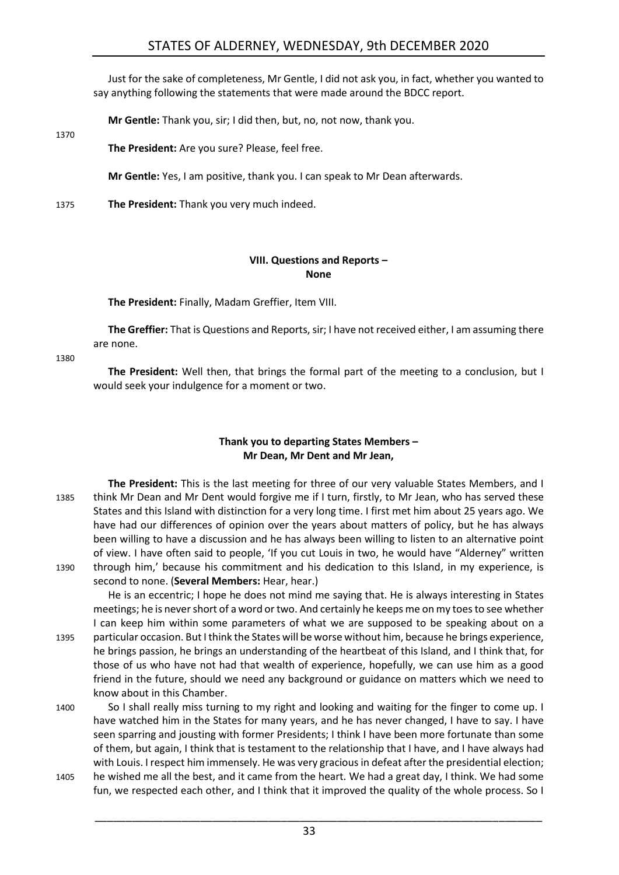Just for the sake of completeness, Mr Gentle, I did not ask you, in fact, whether you wanted to say anything following the statements that were made around the BDCC report.

**Mr Gentle:** Thank you, sir; I did then, but, no, not now, thank you.

**The President:** Are you sure? Please, feel free.

**Mr Gentle:** Yes, I am positive, thank you. I can speak to Mr Dean afterwards.

1375 **The President:** Thank you very much indeed.

#### **VIII. Questions and Reports – None**

<span id="page-32-0"></span>**The President:** Finally, Madam Greffier, Item VIII.

**The Greffier:** That is Questions and Reports, sir; I have not received either, I am assuming there are none.

1380

1370

**The President:** Well then, that brings the formal part of the meeting to a conclusion, but I would seek your indulgence for a moment or two.

#### **Thank you to departing States Members – Mr Dean, Mr Dent and Mr Jean,**

<span id="page-32-1"></span>**The President:** This is the last meeting for three of our very valuable States Members, and I 1385 think Mr Dean and Mr Dent would forgive me if I turn, firstly, to Mr Jean, who has served these States and this Island with distinction for a very long time. I first met him about 25 years ago. We have had our differences of opinion over the years about matters of policy, but he has always been willing to have a discussion and he has always been willing to listen to an alternative point of view. I have often said to people, 'If you cut Louis in two, he would have "Alderney" written 1390 through him,' because his commitment and his dedication to this Island, in my experience, is second to none. (**Several Members:** Hear, hear.)

He is an eccentric; I hope he does not mind me saying that. He is always interesting in States meetings; he is never short of a word or two. And certainly he keeps me on my toes to see whether I can keep him within some parameters of what we are supposed to be speaking about on a 1395 particular occasion. But I think the States will be worse without him, because he brings experience, he brings passion, he brings an understanding of the heartbeat of this Island, and I think that, for those of us who have not had that wealth of experience, hopefully, we can use him as a good friend in the future, should we need any background or guidance on matters which we need to know about in this Chamber.

- 1400 So I shall really miss turning to my right and looking and waiting for the finger to come up. I have watched him in the States for many years, and he has never changed, I have to say. I have seen sparring and jousting with former Presidents; I think I have been more fortunate than some of them, but again, I think that is testament to the relationship that I have, and I have always had with Louis. I respect him immensely. He was very gracious in defeat after the presidential election;
- 1405 he wished me all the best, and it came from the heart. We had a great day, I think. We had some fun, we respected each other, and I think that it improved the quality of the whole process. So I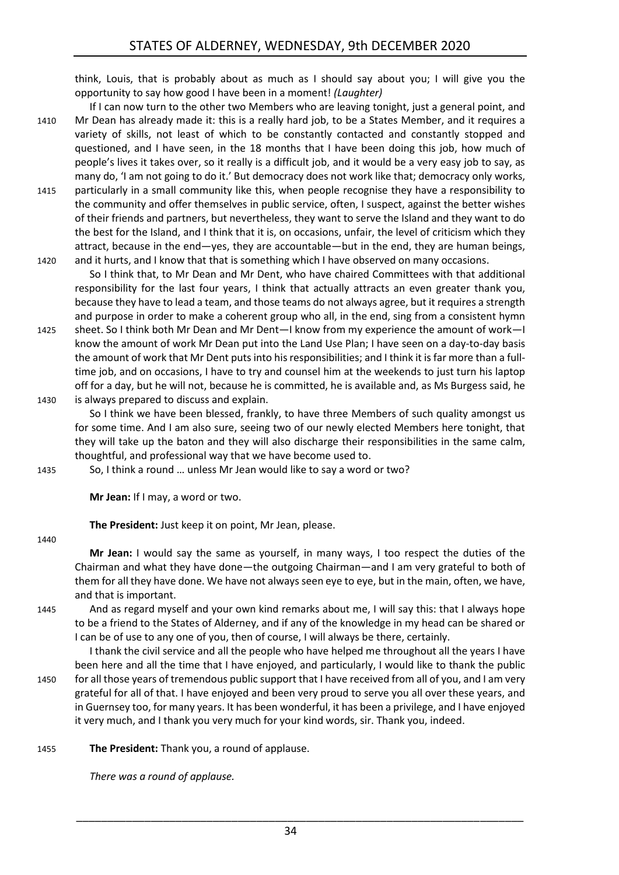think, Louis, that is probably about as much as I should say about you; I will give you the opportunity to say how good I have been in a moment! *(Laughter)*

- If I can now turn to the other two Members who are leaving tonight, just a general point, and 1410 Mr Dean has already made it: this is a really hard job, to be a States Member, and it requires a variety of skills, not least of which to be constantly contacted and constantly stopped and questioned, and I have seen, in the 18 months that I have been doing this job, how much of people's lives it takes over, so it really is a difficult job, and it would be a very easy job to say, as many do, 'I am not going to do it.' But democracy does not work like that; democracy only works,
- 1415 particularly in a small community like this, when people recognise they have a responsibility to the community and offer themselves in public service, often, I suspect, against the better wishes of their friends and partners, but nevertheless, they want to serve the Island and they want to do the best for the Island, and I think that it is, on occasions, unfair, the level of criticism which they attract, because in the end—yes, they are accountable—but in the end, they are human beings, 1420 and it hurts, and I know that that is something which I have observed on many occasions.

So I think that, to Mr Dean and Mr Dent, who have chaired Committees with that additional responsibility for the last four years, I think that actually attracts an even greater thank you, because they have to lead a team, and those teams do not always agree, but it requires a strength and purpose in order to make a coherent group who all, in the end, sing from a consistent hymn

- 1425 sheet. So I think both Mr Dean and Mr Dent—I know from my experience the amount of work—I know the amount of work Mr Dean put into the Land Use Plan; I have seen on a day-to-day basis the amount of work that Mr Dent puts into his responsibilities; and I think it is far more than a fulltime job, and on occasions, I have to try and counsel him at the weekends to just turn his laptop off for a day, but he will not, because he is committed, he is available and, as Ms Burgess said, he 1430 is always prepared to discuss and explain.
	- So I think we have been blessed, frankly, to have three Members of such quality amongst us for some time. And I am also sure, seeing two of our newly elected Members here tonight, that they will take up the baton and they will also discharge their responsibilities in the same calm, thoughtful, and professional way that we have become used to.

1435 So, I think a round … unless Mr Jean would like to say a word or two?

**Mr Jean:** If I may, a word or two.

**The President:** Just keep it on point, Mr Jean, please.

1440

**Mr Jean:** I would say the same as yourself, in many ways, I too respect the duties of the Chairman and what they have done—the outgoing Chairman—and I am very grateful to both of them for all they have done. We have not always seen eye to eye, but in the main, often, we have, and that is important.

1445 And as regard myself and your own kind remarks about me, I will say this: that I always hope to be a friend to the States of Alderney, and if any of the knowledge in my head can be shared or I can be of use to any one of you, then of course, I will always be there, certainly.

I thank the civil service and all the people who have helped me throughout all the years I have been here and all the time that I have enjoyed, and particularly, I would like to thank the public 1450 for all those years of tremendous public support that I have received from all of you, and I am very grateful for all of that. I have enjoyed and been very proud to serve you all over these years, and in Guernsey too, for many years. It has been wonderful, it has been a privilege, and I have enjoyed it very much, and I thank you very much for your kind words, sir. Thank you, indeed.

1455 **The President:** Thank you, a round of applause.

*There was a round of applause.*